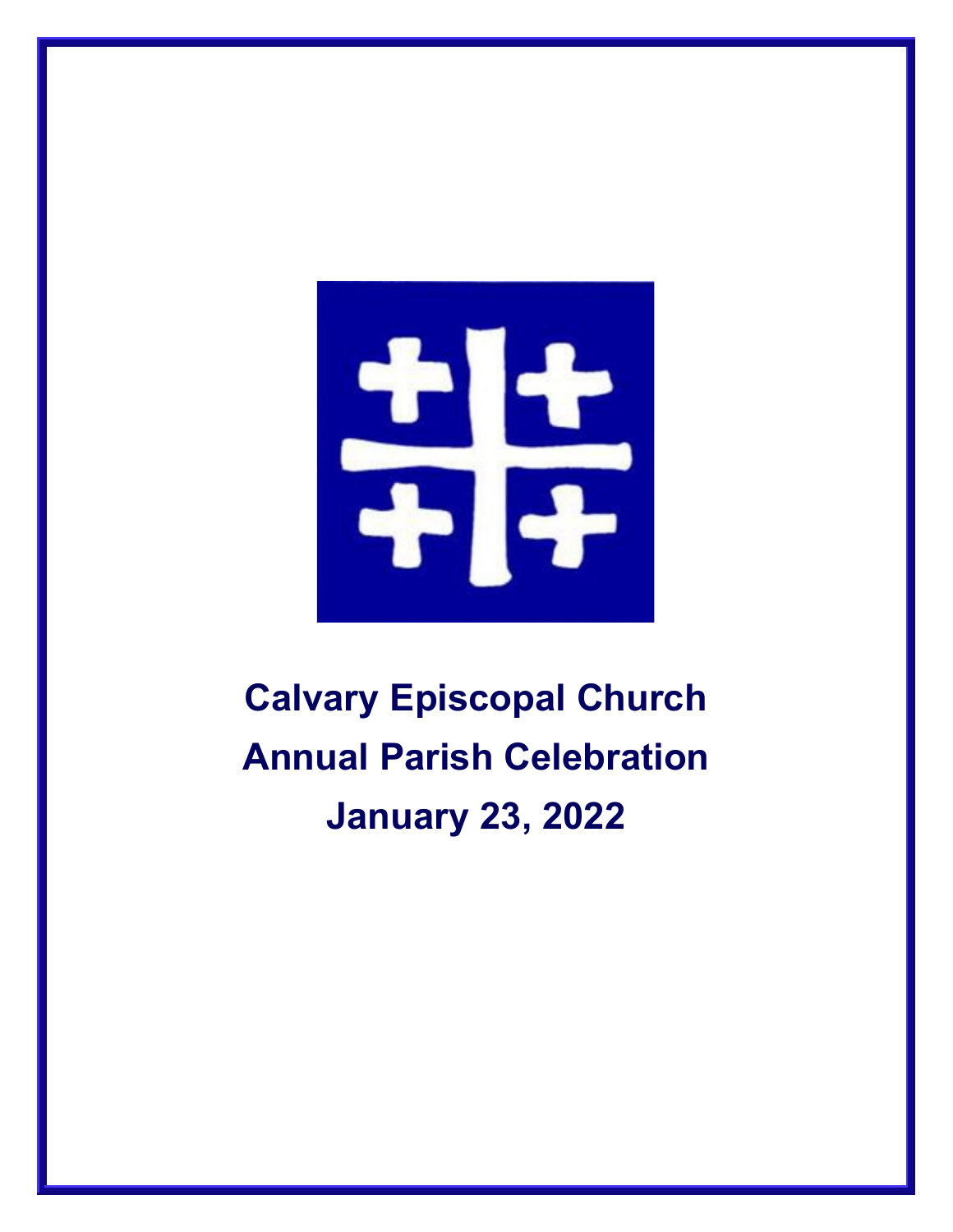

# **Calvary Episcopal Church Annual Parish Celebration January 23, 2022**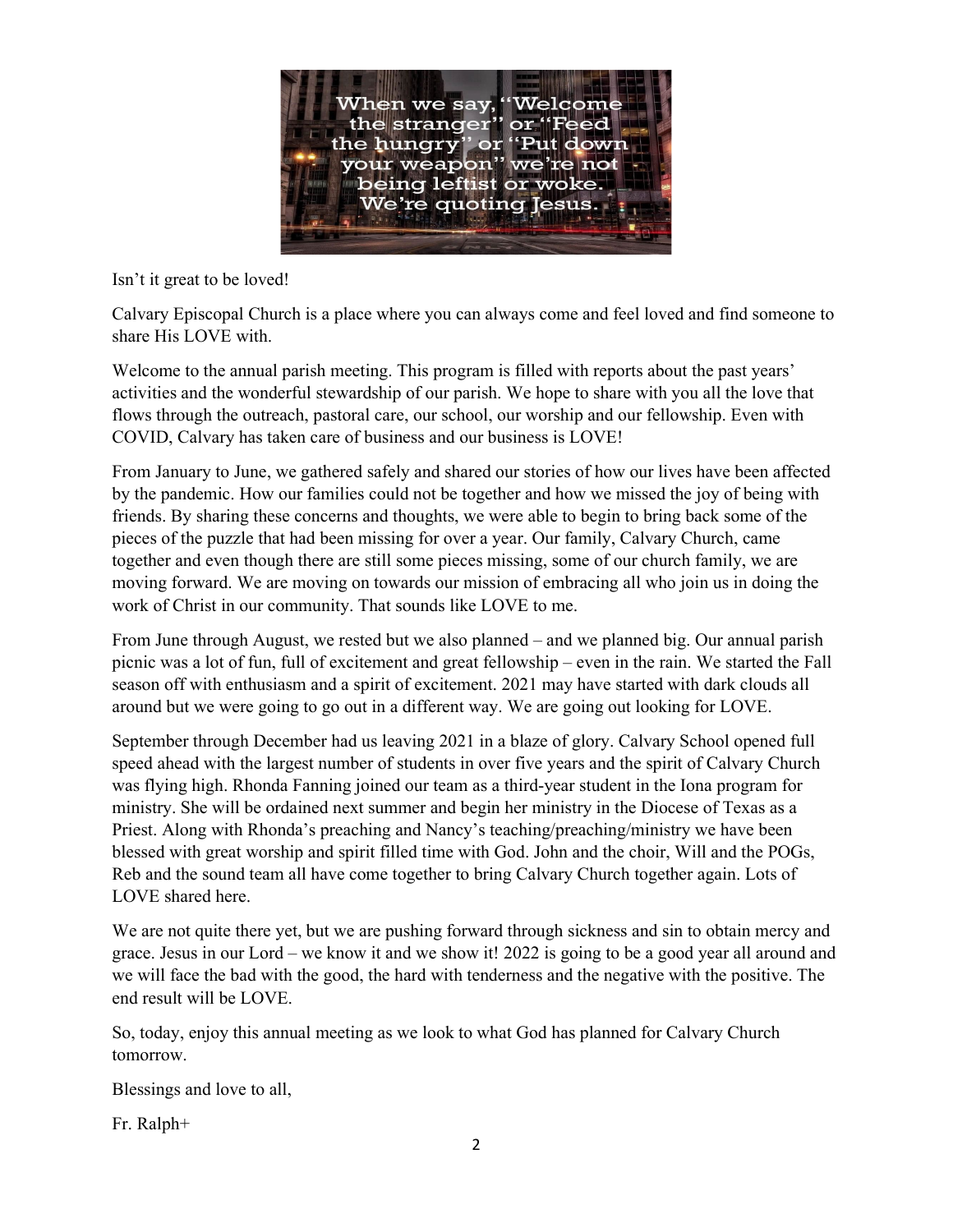

Isn't it great to be loved!

Calvary Episcopal Church is a place where you can always come and feel loved and find someone to share His LOVE with.

Welcome to the annual parish meeting. This program is filled with reports about the past years' activities and the wonderful stewardship of our parish. We hope to share with you all the love that flows through the outreach, pastoral care, our school, our worship and our fellowship. Even with COVID, Calvary has taken care of business and our business is LOVE!

From January to June, we gathered safely and shared our stories of how our lives have been affected by the pandemic. How our families could not be together and how we missed the joy of being with friends. By sharing these concerns and thoughts, we were able to begin to bring back some of the pieces of the puzzle that had been missing for over a year. Our family, Calvary Church, came together and even though there are still some pieces missing, some of our church family, we are moving forward. We are moving on towards our mission of embracing all who join us in doing the work of Christ in our community. That sounds like LOVE to me.

From June through August, we rested but we also planned – and we planned big. Our annual parish picnic was a lot of fun, full of excitement and great fellowship – even in the rain. We started the Fall season off with enthusiasm and a spirit of excitement. 2021 may have started with dark clouds all around but we were going to go out in a different way. We are going out looking for LOVE.

September through December had us leaving 2021 in a blaze of glory. Calvary School opened full speed ahead with the largest number of students in over five years and the spirit of Calvary Church was flying high. Rhonda Fanning joined our team as a third-year student in the Iona program for ministry. She will be ordained next summer and begin her ministry in the Diocese of Texas as a Priest. Along with Rhonda's preaching and Nancy's teaching/preaching/ministry we have been blessed with great worship and spirit filled time with God. John and the choir, Will and the POGs, Reb and the sound team all have come together to bring Calvary Church together again. Lots of LOVE shared here.

We are not quite there yet, but we are pushing forward through sickness and sin to obtain mercy and grace. Jesus in our Lord – we know it and we show it! 2022 is going to be a good year all around and we will face the bad with the good, the hard with tenderness and the negative with the positive. The end result will be LOVE.

So, today, enjoy this annual meeting as we look to what God has planned for Calvary Church tomorrow.

Blessings and love to all,

Fr. Ralph+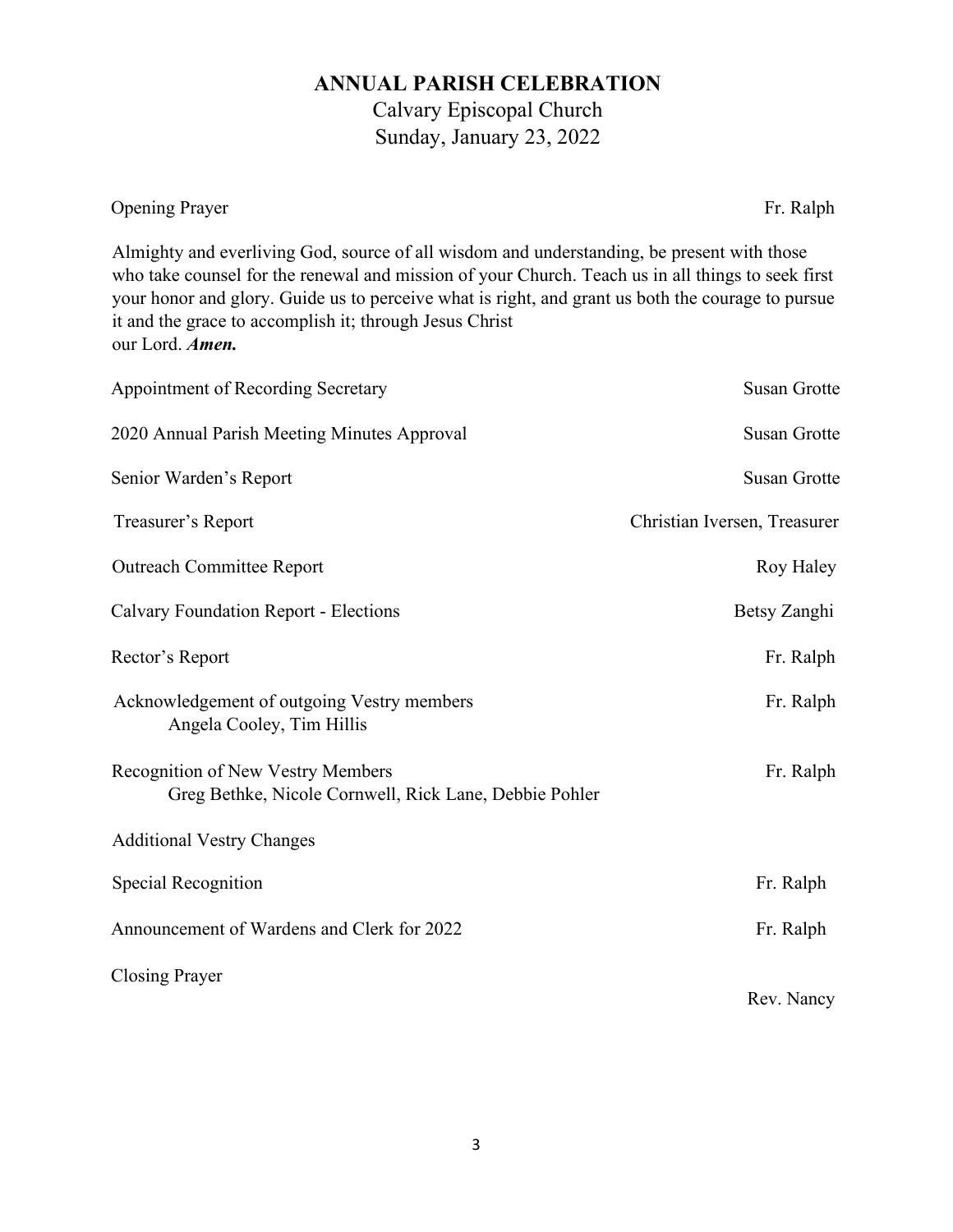# **ANNUAL PARISH CELEBRATION**

Calvary Episcopal Church Sunday, January 23, 2022

Opening Prayer Fr. Ralph

Almighty and everliving God, source of all wisdom and understanding, be present with those who take counsel for the renewal and mission of your Church. Teach us in all things to seek first your honor and glory. Guide us to perceive what is right, and grant us both the courage to pursue it and the grace to accomplish it; through Jesus Christ our Lord. *Amen.*

| Appointment of Recording Secretary                                                          | <b>Susan Grotte</b>          |
|---------------------------------------------------------------------------------------------|------------------------------|
| 2020 Annual Parish Meeting Minutes Approval                                                 | <b>Susan Grotte</b>          |
| Senior Warden's Report                                                                      | <b>Susan Grotte</b>          |
| Treasurer's Report                                                                          | Christian Iversen, Treasurer |
| <b>Outreach Committee Report</b>                                                            | Roy Haley                    |
| <b>Calvary Foundation Report - Elections</b>                                                | Betsy Zanghi                 |
| Rector's Report                                                                             | Fr. Ralph                    |
| Acknowledgement of outgoing Vestry members<br>Angela Cooley, Tim Hillis                     | Fr. Ralph                    |
| Recognition of New Vestry Members<br>Greg Bethke, Nicole Cornwell, Rick Lane, Debbie Pohler | Fr. Ralph                    |
| <b>Additional Vestry Changes</b>                                                            |                              |
| Special Recognition                                                                         | Fr. Ralph                    |
| Announcement of Wardens and Clerk for 2022                                                  | Fr. Ralph                    |
| <b>Closing Prayer</b>                                                                       | Rev. Nancy                   |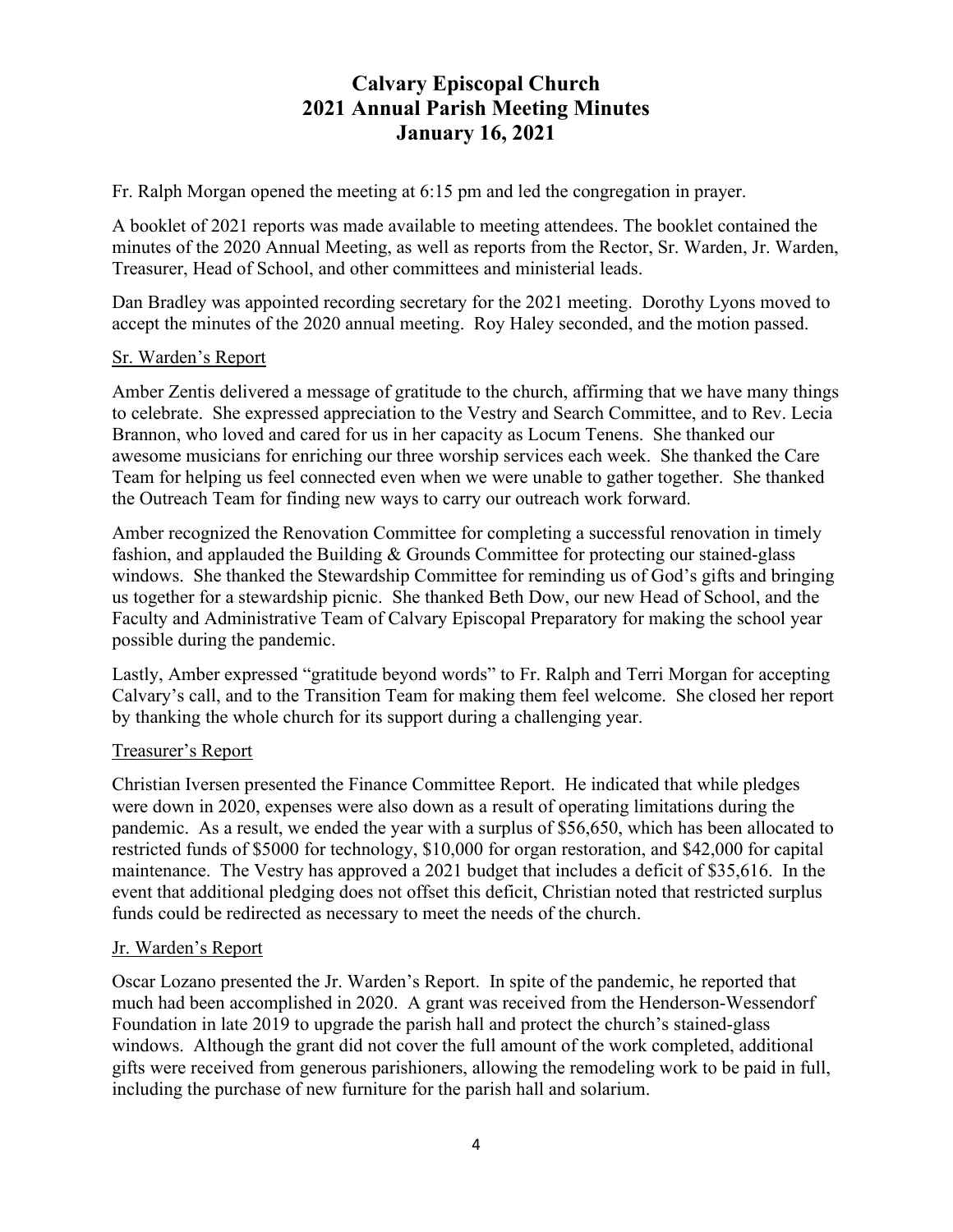# **Calvary Episcopal Church 2021 Annual Parish Meeting Minutes January 16, 2021**

Fr. Ralph Morgan opened the meeting at 6:15 pm and led the congregation in prayer.

A booklet of 2021 reports was made available to meeting attendees. The booklet contained the minutes of the 2020 Annual Meeting, as well as reports from the Rector, Sr. Warden, Jr. Warden, Treasurer, Head of School, and other committees and ministerial leads.

Dan Bradley was appointed recording secretary for the 2021 meeting. Dorothy Lyons moved to accept the minutes of the 2020 annual meeting. Roy Haley seconded, and the motion passed.

## Sr. Warden's Report

Amber Zentis delivered a message of gratitude to the church, affirming that we have many things to celebrate. She expressed appreciation to the Vestry and Search Committee, and to Rev. Lecia Brannon, who loved and cared for us in her capacity as Locum Tenens. She thanked our awesome musicians for enriching our three worship services each week. She thanked the Care Team for helping us feel connected even when we were unable to gather together. She thanked the Outreach Team for finding new ways to carry our outreach work forward.

Amber recognized the Renovation Committee for completing a successful renovation in timely fashion, and applauded the Building & Grounds Committee for protecting our stained-glass windows. She thanked the Stewardship Committee for reminding us of God's gifts and bringing us together for a stewardship picnic. She thanked Beth Dow, our new Head of School, and the Faculty and Administrative Team of Calvary Episcopal Preparatory for making the school year possible during the pandemic.

Lastly, Amber expressed "gratitude beyond words" to Fr. Ralph and Terri Morgan for accepting Calvary's call, and to the Transition Team for making them feel welcome. She closed her report by thanking the whole church for its support during a challenging year.

## Treasurer's Report

Christian Iversen presented the Finance Committee Report. He indicated that while pledges were down in 2020, expenses were also down as a result of operating limitations during the pandemic. As a result, we ended the year with a surplus of \$56,650, which has been allocated to restricted funds of \$5000 for technology, \$10,000 for organ restoration, and \$42,000 for capital maintenance. The Vestry has approved a 2021 budget that includes a deficit of \$35,616. In the event that additional pledging does not offset this deficit, Christian noted that restricted surplus funds could be redirected as necessary to meet the needs of the church.

#### Jr. Warden's Report

Oscar Lozano presented the Jr. Warden's Report. In spite of the pandemic, he reported that much had been accomplished in 2020. A grant was received from the Henderson-Wessendorf Foundation in late 2019 to upgrade the parish hall and protect the church's stained-glass windows. Although the grant did not cover the full amount of the work completed, additional gifts were received from generous parishioners, allowing the remodeling work to be paid in full, including the purchase of new furniture for the parish hall and solarium.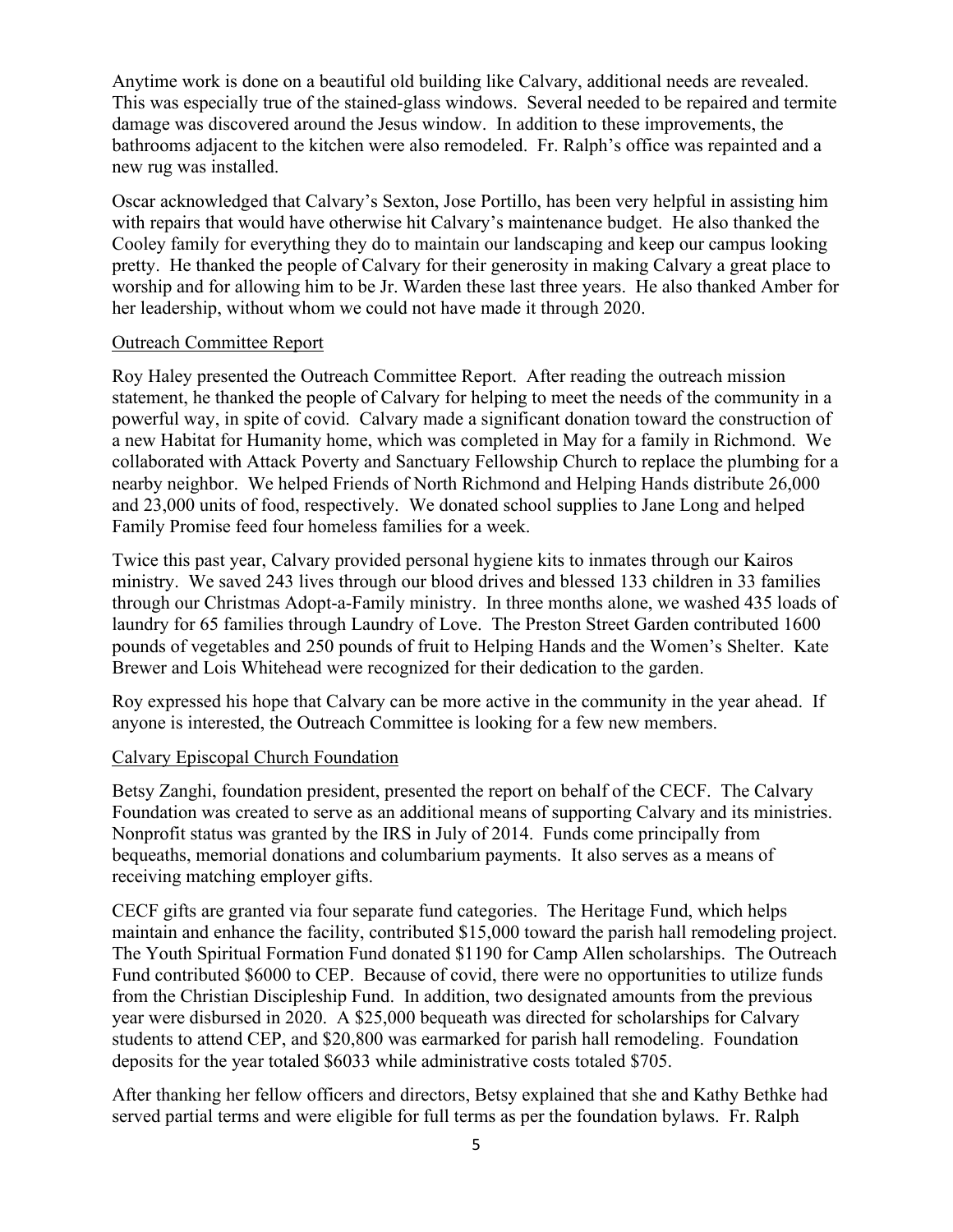Anytime work is done on a beautiful old building like Calvary, additional needs are revealed. This was especially true of the stained-glass windows. Several needed to be repaired and termite damage was discovered around the Jesus window. In addition to these improvements, the bathrooms adjacent to the kitchen were also remodeled. Fr. Ralph's office was repainted and a new rug was installed.

Oscar acknowledged that Calvary's Sexton, Jose Portillo, has been very helpful in assisting him with repairs that would have otherwise hit Calvary's maintenance budget. He also thanked the Cooley family for everything they do to maintain our landscaping and keep our campus looking pretty. He thanked the people of Calvary for their generosity in making Calvary a great place to worship and for allowing him to be Jr. Warden these last three years. He also thanked Amber for her leadership, without whom we could not have made it through 2020.

#### Outreach Committee Report

Roy Haley presented the Outreach Committee Report. After reading the outreach mission statement, he thanked the people of Calvary for helping to meet the needs of the community in a powerful way, in spite of covid. Calvary made a significant donation toward the construction of a new Habitat for Humanity home, which was completed in May for a family in Richmond. We collaborated with Attack Poverty and Sanctuary Fellowship Church to replace the plumbing for a nearby neighbor. We helped Friends of North Richmond and Helping Hands distribute 26,000 and 23,000 units of food, respectively. We donated school supplies to Jane Long and helped Family Promise feed four homeless families for a week.

Twice this past year, Calvary provided personal hygiene kits to inmates through our Kairos ministry. We saved 243 lives through our blood drives and blessed 133 children in 33 families through our Christmas Adopt-a-Family ministry. In three months alone, we washed 435 loads of laundry for 65 families through Laundry of Love. The Preston Street Garden contributed 1600 pounds of vegetables and 250 pounds of fruit to Helping Hands and the Women's Shelter. Kate Brewer and Lois Whitehead were recognized for their dedication to the garden.

Roy expressed his hope that Calvary can be more active in the community in the year ahead. If anyone is interested, the Outreach Committee is looking for a few new members.

#### Calvary Episcopal Church Foundation

Betsy Zanghi, foundation president, presented the report on behalf of the CECF. The Calvary Foundation was created to serve as an additional means of supporting Calvary and its ministries. Nonprofit status was granted by the IRS in July of 2014. Funds come principally from bequeaths, memorial donations and columbarium payments. It also serves as a means of receiving matching employer gifts.

CECF gifts are granted via four separate fund categories. The Heritage Fund, which helps maintain and enhance the facility, contributed \$15,000 toward the parish hall remodeling project. The Youth Spiritual Formation Fund donated \$1190 for Camp Allen scholarships. The Outreach Fund contributed \$6000 to CEP. Because of covid, there were no opportunities to utilize funds from the Christian Discipleship Fund. In addition, two designated amounts from the previous year were disbursed in 2020. A \$25,000 bequeath was directed for scholarships for Calvary students to attend CEP, and \$20,800 was earmarked for parish hall remodeling. Foundation deposits for the year totaled \$6033 while administrative costs totaled \$705.

After thanking her fellow officers and directors, Betsy explained that she and Kathy Bethke had served partial terms and were eligible for full terms as per the foundation bylaws. Fr. Ralph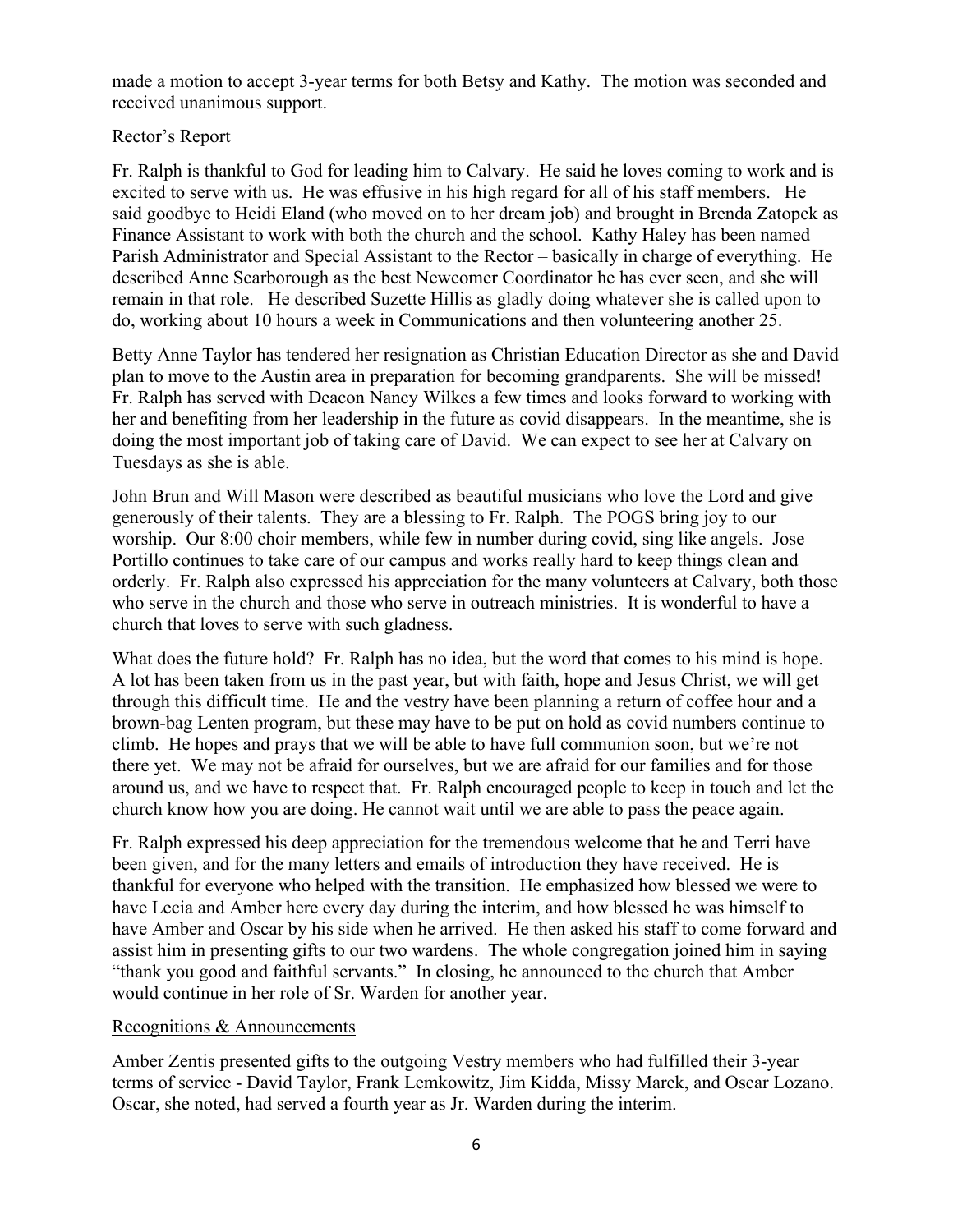made a motion to accept 3-year terms for both Betsy and Kathy. The motion was seconded and received unanimous support.

#### Rector's Report

Fr. Ralph is thankful to God for leading him to Calvary. He said he loves coming to work and is excited to serve with us. He was effusive in his high regard for all of his staff members. He said goodbye to Heidi Eland (who moved on to her dream job) and brought in Brenda Zatopek as Finance Assistant to work with both the church and the school. Kathy Haley has been named Parish Administrator and Special Assistant to the Rector – basically in charge of everything. He described Anne Scarborough as the best Newcomer Coordinator he has ever seen, and she will remain in that role. He described Suzette Hillis as gladly doing whatever she is called upon to do, working about 10 hours a week in Communications and then volunteering another 25.

Betty Anne Taylor has tendered her resignation as Christian Education Director as she and David plan to move to the Austin area in preparation for becoming grandparents. She will be missed! Fr. Ralph has served with Deacon Nancy Wilkes a few times and looks forward to working with her and benefiting from her leadership in the future as covid disappears. In the meantime, she is doing the most important job of taking care of David. We can expect to see her at Calvary on Tuesdays as she is able.

John Brun and Will Mason were described as beautiful musicians who love the Lord and give generously of their talents. They are a blessing to Fr. Ralph. The POGS bring joy to our worship. Our 8:00 choir members, while few in number during covid, sing like angels. Jose Portillo continues to take care of our campus and works really hard to keep things clean and orderly. Fr. Ralph also expressed his appreciation for the many volunteers at Calvary, both those who serve in the church and those who serve in outreach ministries. It is wonderful to have a church that loves to serve with such gladness.

What does the future hold? Fr. Ralph has no idea, but the word that comes to his mind is hope. A lot has been taken from us in the past year, but with faith, hope and Jesus Christ, we will get through this difficult time. He and the vestry have been planning a return of coffee hour and a brown-bag Lenten program, but these may have to be put on hold as covid numbers continue to climb. He hopes and prays that we will be able to have full communion soon, but we're not there yet. We may not be afraid for ourselves, but we are afraid for our families and for those around us, and we have to respect that. Fr. Ralph encouraged people to keep in touch and let the church know how you are doing. He cannot wait until we are able to pass the peace again.

Fr. Ralph expressed his deep appreciation for the tremendous welcome that he and Terri have been given, and for the many letters and emails of introduction they have received. He is thankful for everyone who helped with the transition. He emphasized how blessed we were to have Lecia and Amber here every day during the interim, and how blessed he was himself to have Amber and Oscar by his side when he arrived. He then asked his staff to come forward and assist him in presenting gifts to our two wardens. The whole congregation joined him in saying "thank you good and faithful servants." In closing, he announced to the church that Amber would continue in her role of Sr. Warden for another year.

#### Recognitions & Announcements

Amber Zentis presented gifts to the outgoing Vestry members who had fulfilled their 3-year terms of service - David Taylor, Frank Lemkowitz, Jim Kidda, Missy Marek, and Oscar Lozano. Oscar, she noted, had served a fourth year as Jr. Warden during the interim.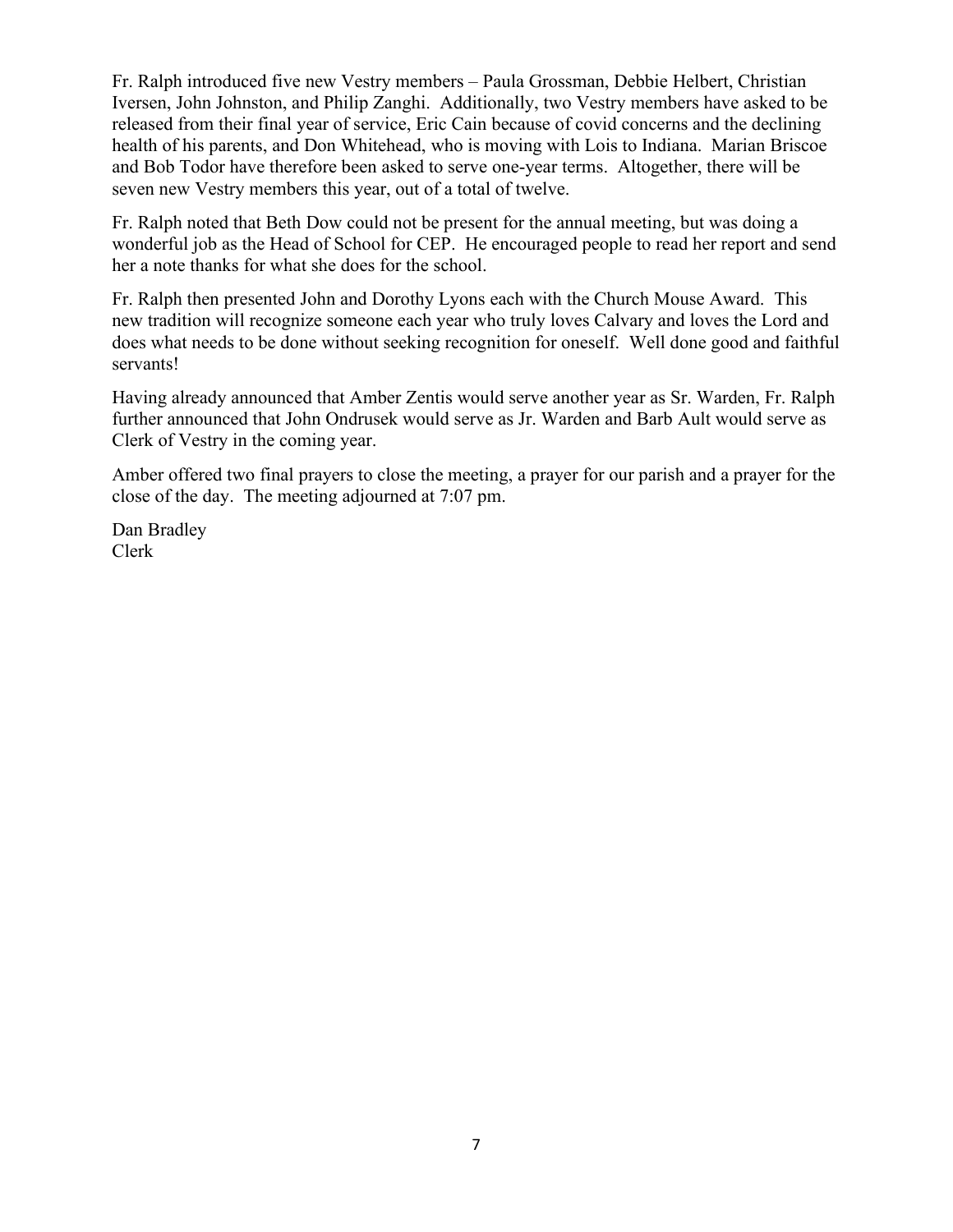Fr. Ralph introduced five new Vestry members – Paula Grossman, Debbie Helbert, Christian Iversen, John Johnston, and Philip Zanghi. Additionally, two Vestry members have asked to be released from their final year of service, Eric Cain because of covid concerns and the declining health of his parents, and Don Whitehead, who is moving with Lois to Indiana. Marian Briscoe and Bob Todor have therefore been asked to serve one-year terms. Altogether, there will be seven new Vestry members this year, out of a total of twelve.

Fr. Ralph noted that Beth Dow could not be present for the annual meeting, but was doing a wonderful job as the Head of School for CEP. He encouraged people to read her report and send her a note thanks for what she does for the school.

Fr. Ralph then presented John and Dorothy Lyons each with the Church Mouse Award. This new tradition will recognize someone each year who truly loves Calvary and loves the Lord and does what needs to be done without seeking recognition for oneself. Well done good and faithful servants!

Having already announced that Amber Zentis would serve another year as Sr. Warden, Fr. Ralph further announced that John Ondrusek would serve as Jr. Warden and Barb Ault would serve as Clerk of Vestry in the coming year.

Amber offered two final prayers to close the meeting, a prayer for our parish and a prayer for the close of the day. The meeting adjourned at 7:07 pm.

Dan Bradley Clerk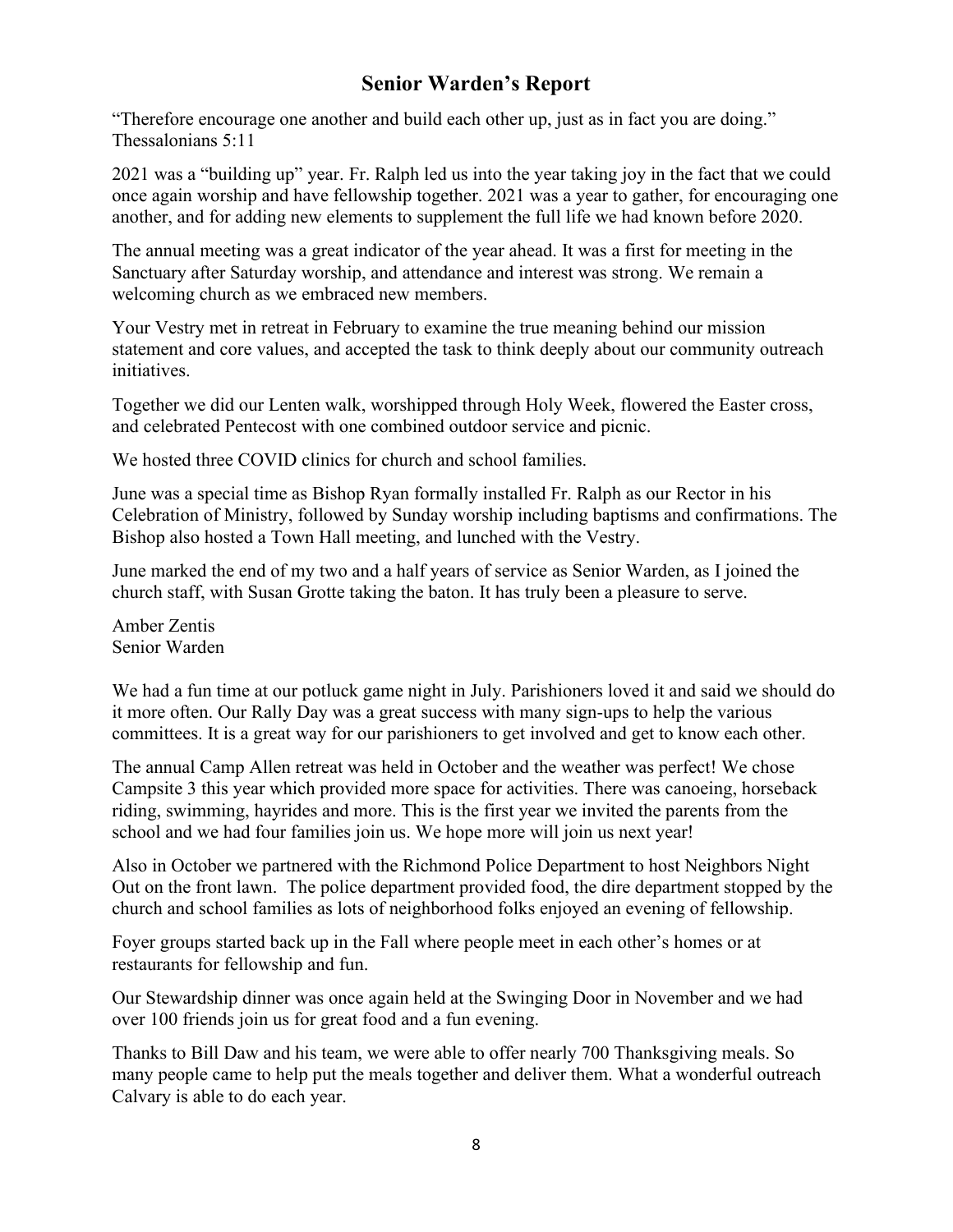# **Senior Warden's Report**

"Therefore encourage one another and build each other up, just as in fact you are doing." Thessalonians 5:11

2021 was a "building up" year. Fr. Ralph led us into the year taking joy in the fact that we could once again worship and have fellowship together. 2021 was a year to gather, for encouraging one another, and for adding new elements to supplement the full life we had known before 2020.

The annual meeting was a great indicator of the year ahead. It was a first for meeting in the Sanctuary after Saturday worship, and attendance and interest was strong. We remain a welcoming church as we embraced new members.

Your Vestry met in retreat in February to examine the true meaning behind our mission statement and core values, and accepted the task to think deeply about our community outreach initiatives.

Together we did our Lenten walk, worshipped through Holy Week, flowered the Easter cross, and celebrated Pentecost with one combined outdoor service and picnic.

We hosted three COVID clinics for church and school families.

June was a special time as Bishop Ryan formally installed Fr. Ralph as our Rector in his Celebration of Ministry, followed by Sunday worship including baptisms and confirmations. The Bishop also hosted a Town Hall meeting, and lunched with the Vestry.

June marked the end of my two and a half years of service as Senior Warden, as I joined the church staff, with Susan Grotte taking the baton. It has truly been a pleasure to serve.

Amber Zentis Senior Warden

We had a fun time at our potluck game night in July. Parishioners loved it and said we should do it more often. Our Rally Day was a great success with many sign-ups to help the various committees. It is a great way for our parishioners to get involved and get to know each other.

The annual Camp Allen retreat was held in October and the weather was perfect! We chose Campsite 3 this year which provided more space for activities. There was canoeing, horseback riding, swimming, hayrides and more. This is the first year we invited the parents from the school and we had four families join us. We hope more will join us next year!

Also in October we partnered with the Richmond Police Department to host Neighbors Night Out on the front lawn. The police department provided food, the dire department stopped by the church and school families as lots of neighborhood folks enjoyed an evening of fellowship.

Foyer groups started back up in the Fall where people meet in each other's homes or at restaurants for fellowship and fun.

Our Stewardship dinner was once again held at the Swinging Door in November and we had over 100 friends join us for great food and a fun evening.

Thanks to Bill Daw and his team, we were able to offer nearly 700 Thanksgiving meals. So many people came to help put the meals together and deliver them. What a wonderful outreach Calvary is able to do each year.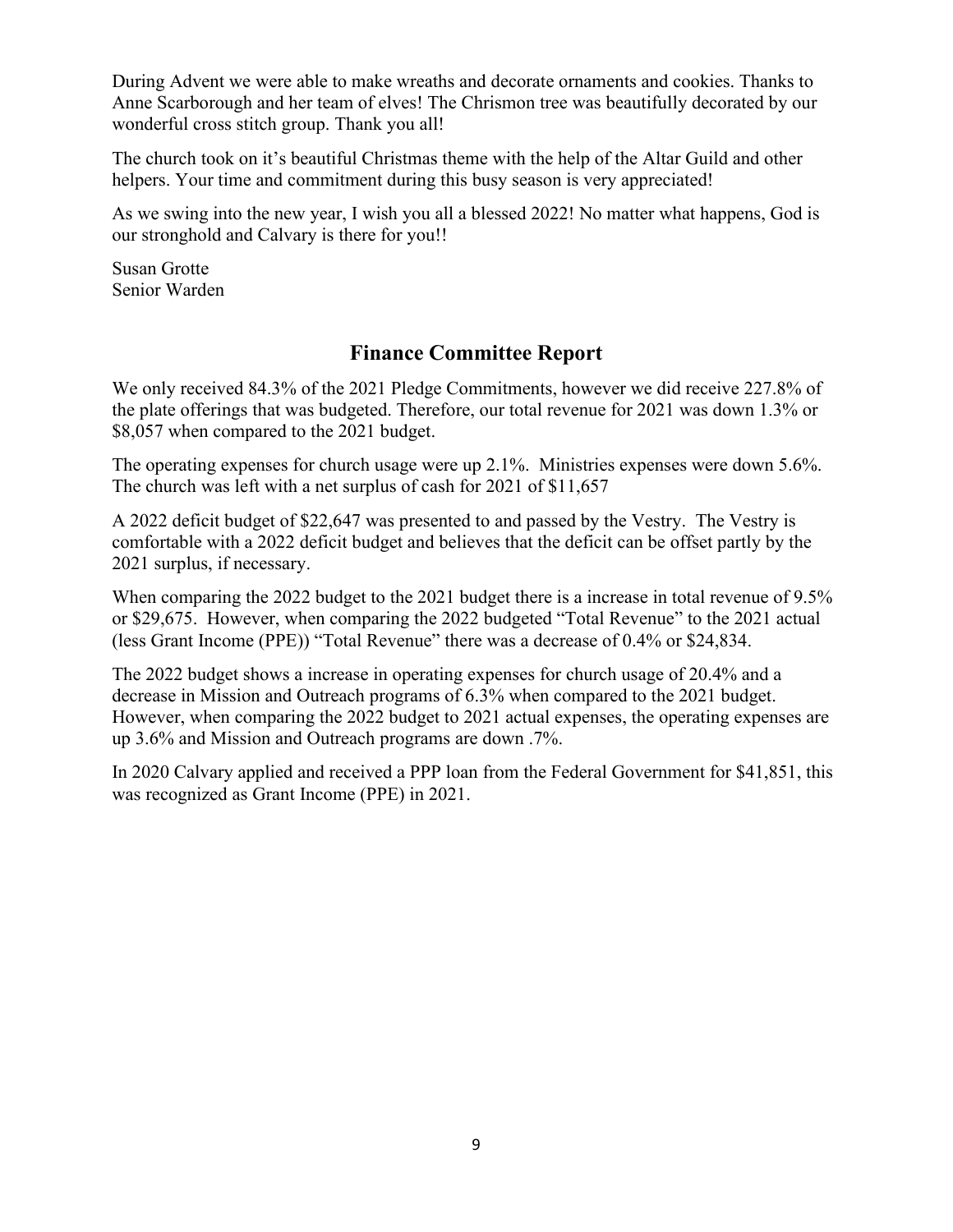During Advent we were able to make wreaths and decorate ornaments and cookies. Thanks to Anne Scarborough and her team of elves! The Chrismon tree was beautifully decorated by our wonderful cross stitch group. Thank you all!

The church took on it's beautiful Christmas theme with the help of the Altar Guild and other helpers. Your time and commitment during this busy season is very appreciated!

As we swing into the new year, I wish you all a blessed 2022! No matter what happens, God is our stronghold and Calvary is there for you!!

Susan Grotte Senior Warden

# **Finance Committee Report**

We only received 84.3% of the 2021 Pledge Commitments, however we did receive 227.8% of the plate offerings that was budgeted. Therefore, our total revenue for 2021 was down 1.3% or \$8,057 when compared to the 2021 budget.

The operating expenses for church usage were up 2.1%. Ministries expenses were down 5.6%. The church was left with a net surplus of cash for 2021 of \$11,657

A 2022 deficit budget of \$22,647 was presented to and passed by the Vestry. The Vestry is comfortable with a 2022 deficit budget and believes that the deficit can be offset partly by the 2021 surplus, if necessary.

When comparing the 2022 budget to the 2021 budget there is a increase in total revenue of 9.5% or \$29,675. However, when comparing the 2022 budgeted "Total Revenue" to the 2021 actual (less Grant Income (PPE)) "Total Revenue" there was a decrease of 0.4% or \$24,834.

The 2022 budget shows a increase in operating expenses for church usage of 20.4% and a decrease in Mission and Outreach programs of 6.3% when compared to the 2021 budget. However, when comparing the 2022 budget to 2021 actual expenses, the operating expenses are up 3.6% and Mission and Outreach programs are down .7%.

In 2020 Calvary applied and received a PPP loan from the Federal Government for \$41,851, this was recognized as Grant Income (PPE) in 2021.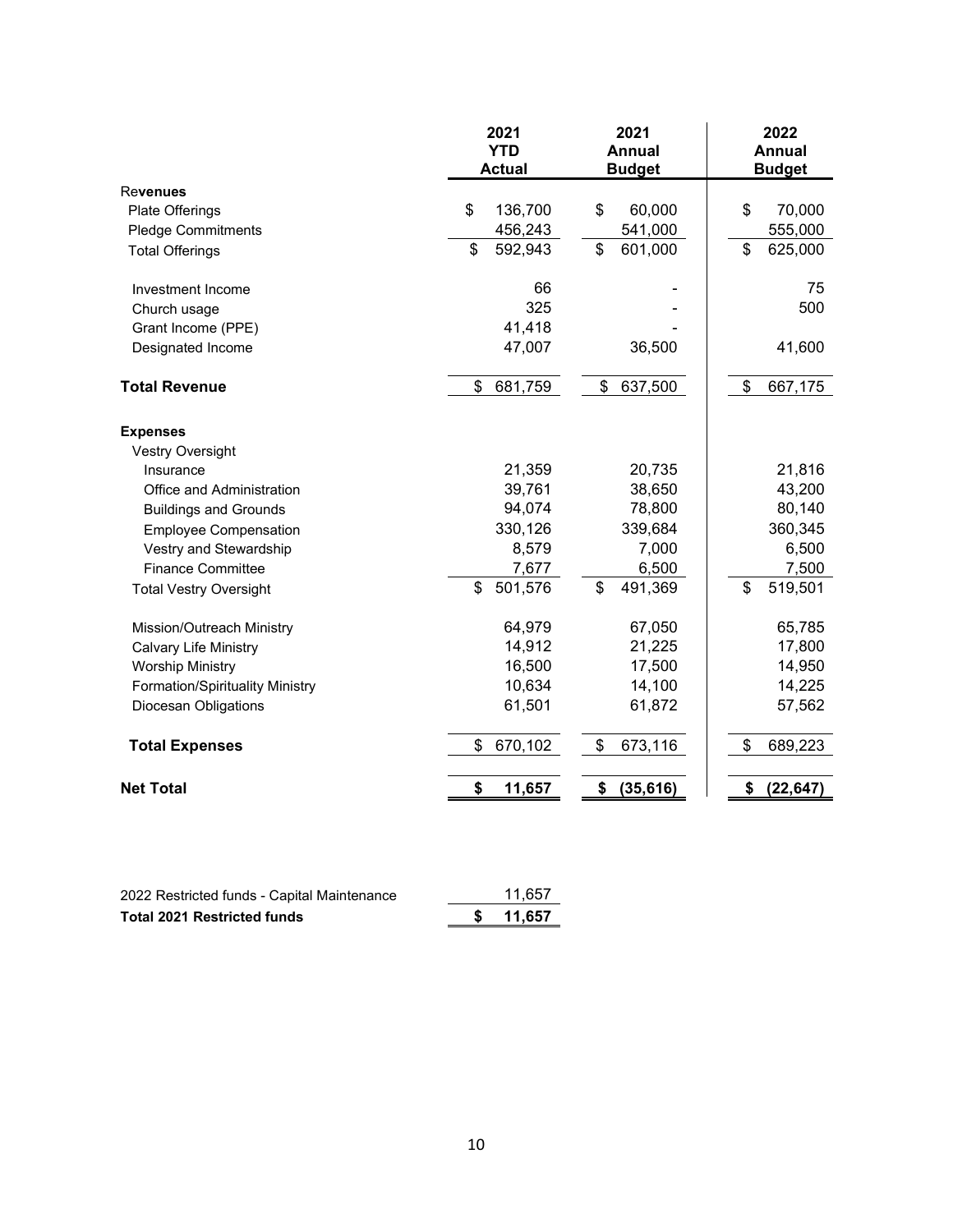|                                        | 2021<br><b>YTD</b><br><b>Actual</b> | 2021<br><b>Annual</b><br><b>Budget</b> | 2022<br><b>Annual</b><br><b>Budget</b> |
|----------------------------------------|-------------------------------------|----------------------------------------|----------------------------------------|
| <b>Revenues</b>                        |                                     |                                        |                                        |
| Plate Offerings                        | \$<br>136,700                       | \$<br>60,000                           | \$<br>70,000                           |
| <b>Pledge Commitments</b>              | 456,243                             | 541,000                                | 555,000                                |
| <b>Total Offerings</b>                 | \$<br>592,943                       | \$<br>601,000                          | \$<br>625,000                          |
| Investment Income                      | 66                                  |                                        | 75                                     |
| Church usage                           | 325                                 |                                        | 500                                    |
| Grant Income (PPE)                     | 41,418                              |                                        |                                        |
| Designated Income                      | 47,007                              | 36,500                                 | 41,600                                 |
| <b>Total Revenue</b>                   | \$<br>681,759                       | \$<br>637,500                          | \$<br>667,175                          |
| <b>Expenses</b>                        |                                     |                                        |                                        |
| <b>Vestry Oversight</b>                |                                     |                                        |                                        |
| Insurance                              | 21,359                              | 20,735                                 | 21,816                                 |
| Office and Administration              | 39,761                              | 38,650                                 | 43,200                                 |
| <b>Buildings and Grounds</b>           | 94,074                              | 78,800                                 | 80,140                                 |
| <b>Employee Compensation</b>           | 330,126                             | 339,684                                | 360,345                                |
| Vestry and Stewardship                 | 8,579                               | 7,000                                  | 6,500                                  |
| <b>Finance Committee</b>               | 7,677                               | 6,500                                  | 7,500                                  |
| <b>Total Vestry Oversight</b>          | \$<br>501,576                       | \$<br>491,369                          | \$<br>519,501                          |
| Mission/Outreach Ministry              | 64,979                              | 67,050                                 | 65,785                                 |
| <b>Calvary Life Ministry</b>           | 14,912                              | 21,225                                 | 17,800                                 |
| <b>Worship Ministry</b>                | 16,500                              | 17,500                                 | 14,950                                 |
| <b>Formation/Spirituality Ministry</b> | 10,634                              | 14,100                                 | 14,225                                 |
| Diocesan Obligations                   | 61,501                              | 61,872                                 | 57,562                                 |
| <b>Total Expenses</b>                  | 670,102<br>\$                       | \$<br>673,116                          | \$<br>689,223                          |
| <b>Net Total</b>                       | \$<br>11,657                        | \$<br>(35, 616)                        | \$<br>(22, 647)                        |

| 2022 Restricted funds - Capital Maintenance | 11.657 |
|---------------------------------------------|--------|
| <b>Total 2021 Restricted funds</b>          | 11,657 |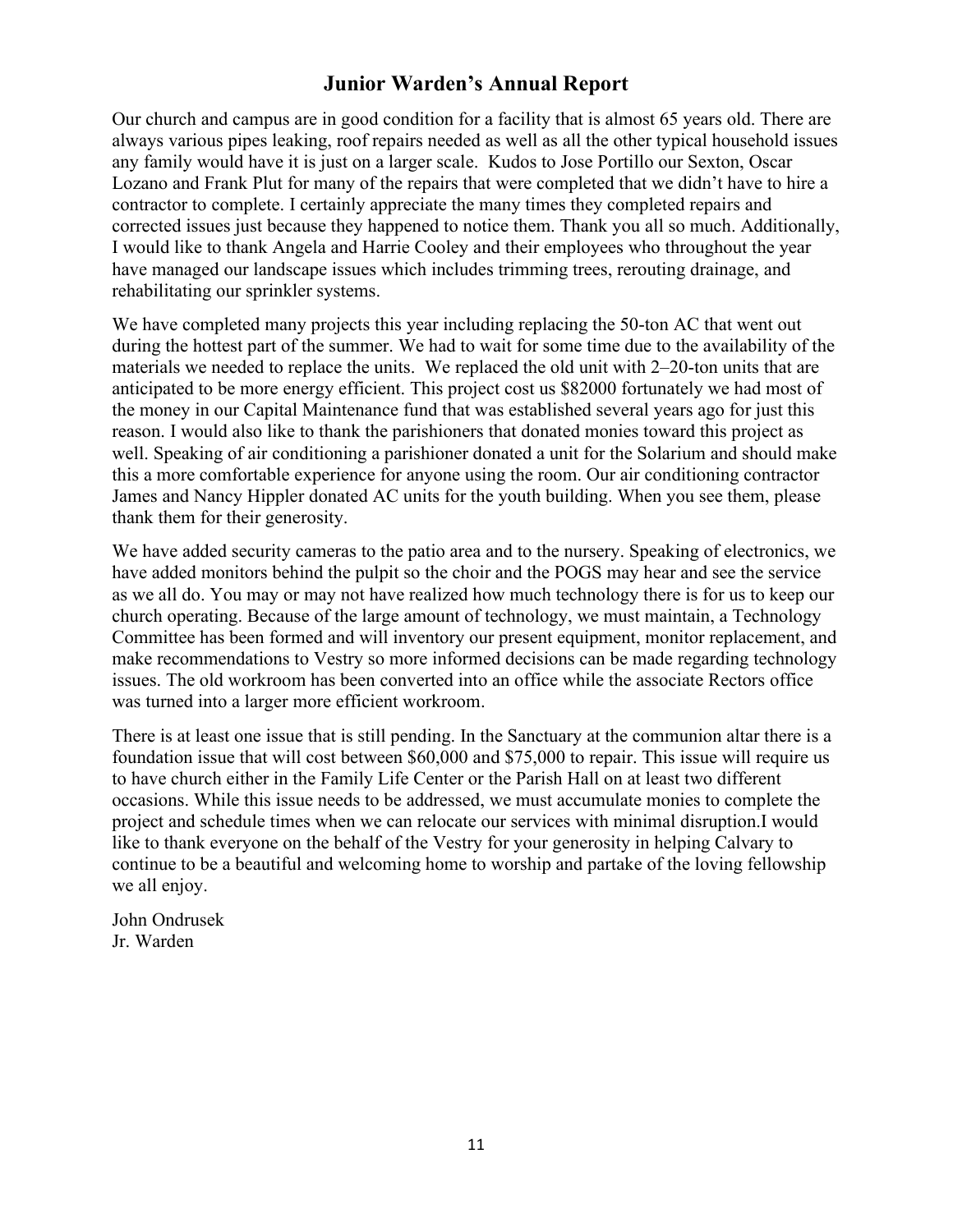# **Junior Warden's Annual Report**

Our church and campus are in good condition for a facility that is almost 65 years old. There are always various pipes leaking, roof repairs needed as well as all the other typical household issues any family would have it is just on a larger scale. Kudos to Jose Portillo our Sexton, Oscar Lozano and Frank Plut for many of the repairs that were completed that we didn't have to hire a contractor to complete. I certainly appreciate the many times they completed repairs and corrected issues just because they happened to notice them. Thank you all so much. Additionally, I would like to thank Angela and Harrie Cooley and their employees who throughout the year have managed our landscape issues which includes trimming trees, rerouting drainage, and rehabilitating our sprinkler systems.

We have completed many projects this year including replacing the 50-ton AC that went out during the hottest part of the summer. We had to wait for some time due to the availability of the materials we needed to replace the units. We replaced the old unit with 2–20-ton units that are anticipated to be more energy efficient. This project cost us \$82000 fortunately we had most of the money in our Capital Maintenance fund that was established several years ago for just this reason. I would also like to thank the parishioners that donated monies toward this project as well. Speaking of air conditioning a parishioner donated a unit for the Solarium and should make this a more comfortable experience for anyone using the room. Our air conditioning contractor James and Nancy Hippler donated AC units for the youth building. When you see them, please thank them for their generosity.

We have added security cameras to the patio area and to the nursery. Speaking of electronics, we have added monitors behind the pulpit so the choir and the POGS may hear and see the service as we all do. You may or may not have realized how much technology there is for us to keep our church operating. Because of the large amount of technology, we must maintain, a Technology Committee has been formed and will inventory our present equipment, monitor replacement, and make recommendations to Vestry so more informed decisions can be made regarding technology issues. The old workroom has been converted into an office while the associate Rectors office was turned into a larger more efficient workroom.

There is at least one issue that is still pending. In the Sanctuary at the communion altar there is a foundation issue that will cost between \$60,000 and \$75,000 to repair. This issue will require us to have church either in the Family Life Center or the Parish Hall on at least two different occasions. While this issue needs to be addressed, we must accumulate monies to complete the project and schedule times when we can relocate our services with minimal disruption.I would like to thank everyone on the behalf of the Vestry for your generosity in helping Calvary to continue to be a beautiful and welcoming home to worship and partake of the loving fellowship we all enjoy.

John Ondrusek Jr. Warden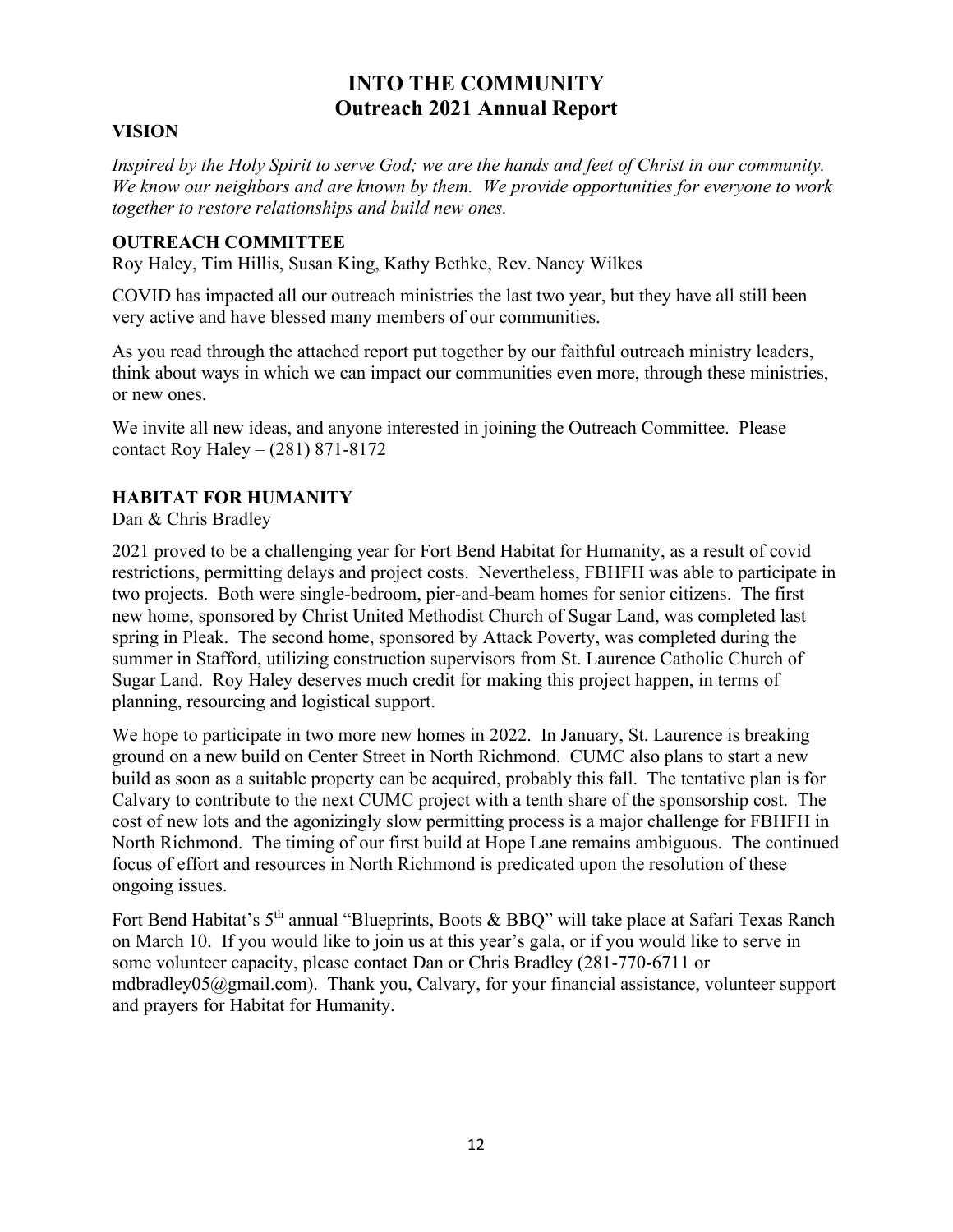# **INTO THE COMMUNITY Outreach 2021 Annual Report**

## **VISION**

*Inspired by the Holy Spirit to serve God; we are the hands and feet of Christ in our community. We know our neighbors and are known by them. We provide opportunities for everyone to work together to restore relationships and build new ones.*

#### **OUTREACH COMMITTEE**

Roy Haley, Tim Hillis, Susan King, Kathy Bethke, Rev. Nancy Wilkes

COVID has impacted all our outreach ministries the last two year, but they have all still been very active and have blessed many members of our communities.

As you read through the attached report put together by our faithful outreach ministry leaders, think about ways in which we can impact our communities even more, through these ministries, or new ones.

We invite all new ideas, and anyone interested in joining the Outreach Committee. Please contact Roy Haley – (281) 871-8172

## **HABITAT FOR HUMANITY**

Dan & Chris Bradley

2021 proved to be a challenging year for Fort Bend Habitat for Humanity, as a result of covid restrictions, permitting delays and project costs. Nevertheless, FBHFH was able to participate in two projects. Both were single-bedroom, pier-and-beam homes for senior citizens. The first new home, sponsored by Christ United Methodist Church of Sugar Land, was completed last spring in Pleak. The second home, sponsored by Attack Poverty, was completed during the summer in Stafford, utilizing construction supervisors from St. Laurence Catholic Church of Sugar Land. Roy Haley deserves much credit for making this project happen, in terms of planning, resourcing and logistical support.

We hope to participate in two more new homes in 2022. In January, St. Laurence is breaking ground on a new build on Center Street in North Richmond. CUMC also plans to start a new build as soon as a suitable property can be acquired, probably this fall. The tentative plan is for Calvary to contribute to the next CUMC project with a tenth share of the sponsorship cost. The cost of new lots and the agonizingly slow permitting process is a major challenge for FBHFH in North Richmond. The timing of our first build at Hope Lane remains ambiguous. The continued focus of effort and resources in North Richmond is predicated upon the resolution of these ongoing issues.

Fort Bend Habitat's 5<sup>th</sup> annual "Blueprints, Boots & BBQ" will take place at Safari Texas Ranch on March 10. If you would like to join us at this year's gala, or if you would like to serve in some volunteer capacity, please contact Dan or Chris Bradley (281-770-6711 or mdbradley05@gmail.com). Thank you, Calvary, for your financial assistance, volunteer support and prayers for Habitat for Humanity.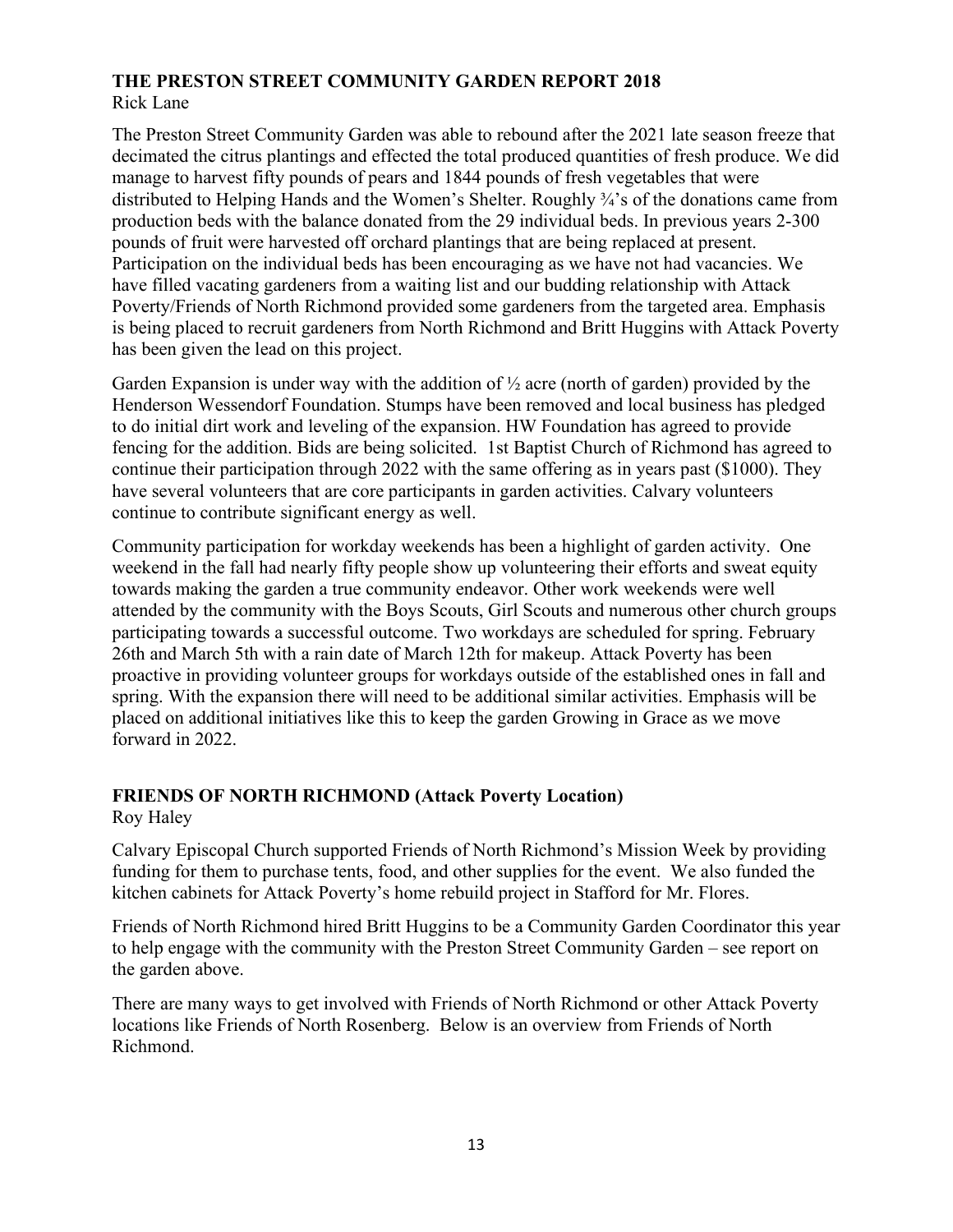## **THE PRESTON STREET COMMUNITY GARDEN REPORT 2018** Rick Lane

The Preston Street Community Garden was able to rebound after the 2021 late season freeze that decimated the citrus plantings and effected the total produced quantities of fresh produce. We did manage to harvest fifty pounds of pears and 1844 pounds of fresh vegetables that were distributed to Helping Hands and the Women's Shelter. Roughly ¾'s of the donations came from production beds with the balance donated from the 29 individual beds. In previous years 2-300 pounds of fruit were harvested off orchard plantings that are being replaced at present. Participation on the individual beds has been encouraging as we have not had vacancies. We have filled vacating gardeners from a waiting list and our budding relationship with Attack Poverty/Friends of North Richmond provided some gardeners from the targeted area. Emphasis is being placed to recruit gardeners from North Richmond and Britt Huggins with Attack Poverty has been given the lead on this project.

Garden Expansion is under way with the addition of  $\frac{1}{2}$  acre (north of garden) provided by the Henderson Wessendorf Foundation. Stumps have been removed and local business has pledged to do initial dirt work and leveling of the expansion. HW Foundation has agreed to provide fencing for the addition. Bids are being solicited. 1st Baptist Church of Richmond has agreed to continue their participation through 2022 with the same offering as in years past (\$1000). They have several volunteers that are core participants in garden activities. Calvary volunteers continue to contribute significant energy as well.

Community participation for workday weekends has been a highlight of garden activity. One weekend in the fall had nearly fifty people show up volunteering their efforts and sweat equity towards making the garden a true community endeavor. Other work weekends were well attended by the community with the Boys Scouts, Girl Scouts and numerous other church groups participating towards a successful outcome. Two workdays are scheduled for spring. February 26th and March 5th with a rain date of March 12th for makeup. Attack Poverty has been proactive in providing volunteer groups for workdays outside of the established ones in fall and spring. With the expansion there will need to be additional similar activities. Emphasis will be placed on additional initiatives like this to keep the garden Growing in Grace as we move forward in 2022.

# **FRIENDS OF NORTH RICHMOND (Attack Poverty Location)**

Roy Haley

Calvary Episcopal Church supported Friends of North Richmond's Mission Week by providing funding for them to purchase tents, food, and other supplies for the event. We also funded the kitchen cabinets for Attack Poverty's home rebuild project in Stafford for Mr. Flores.

Friends of North Richmond hired Britt Huggins to be a Community Garden Coordinator this year to help engage with the community with the Preston Street Community Garden – see report on the garden above.

There are many ways to get involved with Friends of North Richmond or other Attack Poverty locations like Friends of North Rosenberg. Below is an overview from Friends of North Richmond.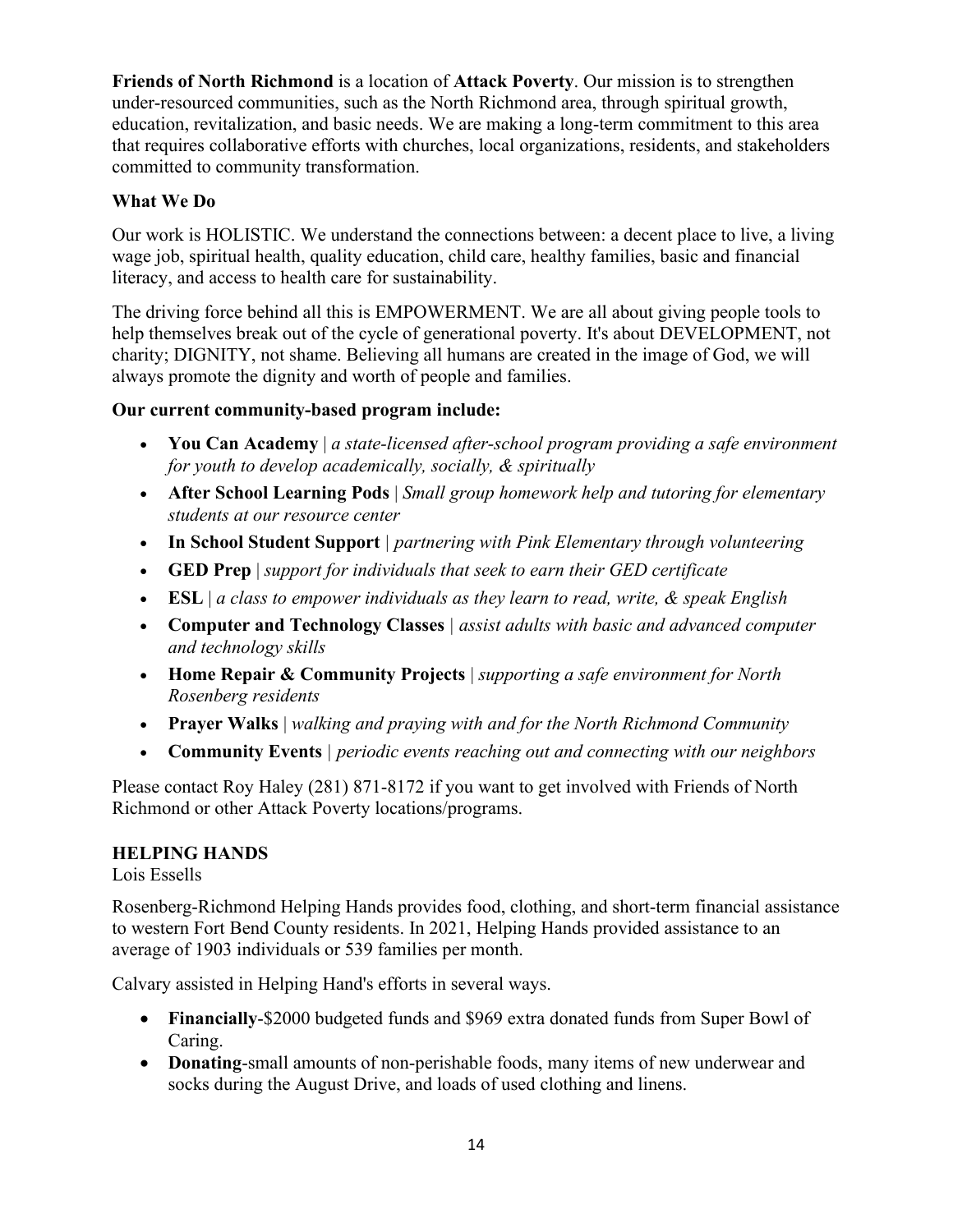**Friends of North Richmond** is a location of **Attack Poverty**. Our mission is to strengthen under-resourced communities, such as the North Richmond area, through spiritual growth, education, revitalization, and basic needs. We are making a long-term commitment to this area that requires collaborative efforts with churches, local organizations, residents, and stakeholders committed to community transformation.

## **What We Do**

Our work is HOLISTIC. We understand the connections between: a decent place to live, a living wage job, spiritual health, quality education, child care, healthy families, basic and financial literacy, and access to health care for sustainability.

The driving force behind all this is EMPOWERMENT. We are all about giving people tools to help themselves break out of the cycle of generational poverty. It's about DEVELOPMENT, not charity; DIGNITY, not shame. Believing all humans are created in the image of God, we will always promote the dignity and worth of people and families.

## **Our current community-based program include:**

- **You Can Academy** | *a state-licensed after-school program providing a safe environment for youth to develop academically, socially, & spiritually*
- **After School Learning Pods** | *Small group homework help and tutoring for elementary students at our resource center*
- **In School Student Support** *| partnering with Pink Elementary through volunteering*
- **GED Prep** | *support for individuals that seek to earn their GED certificate*
- **ESL** | *a class to empower individuals as they learn to read, write, & speak English*
- **Computer and Technology Classes** *| assist adults with basic and advanced computer and technology skills*
- **Home Repair & Community Projects** | *supporting a safe environment for North Rosenberg residents*
- **Prayer Walks** | *walking and praying with and for the North Richmond Community*
- **Community Events** *| periodic events reaching out and connecting with our neighbors*

Please contact Roy Haley (281) 871-8172 if you want to get involved with Friends of North Richmond or other Attack Poverty locations/programs.

## **HELPING HANDS**

## Lois Essells

Rosenberg-Richmond Helping Hands provides food, clothing, and short-term financial assistance to western Fort Bend County residents. In 2021, Helping Hands provided assistance to an average of 1903 individuals or 539 families per month.

Calvary assisted in Helping Hand's efforts in several ways.

- **Financially**-\$2000 budgeted funds and \$969 extra donated funds from Super Bowl of Caring.
- **Donating**-small amounts of non-perishable foods, many items of new underwear and socks during the August Drive, and loads of used clothing and linens.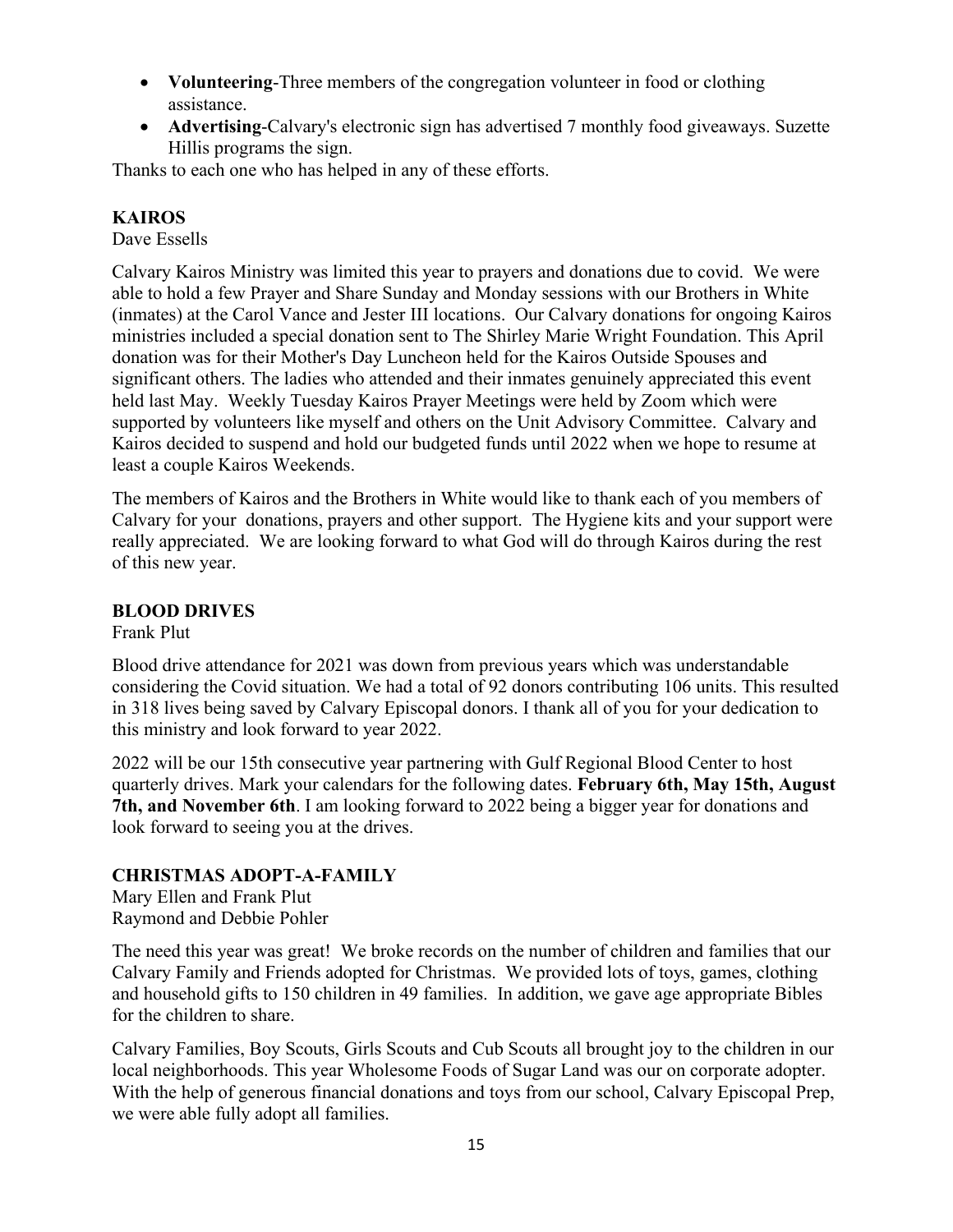- **Volunteering**-Three members of the congregation volunteer in food or clothing assistance.
- **Advertising**-Calvary's electronic sign has advertised 7 monthly food giveaways. Suzette Hillis programs the sign.

Thanks to each one who has helped in any of these efforts.

## **KAIROS**

Dave Essells

Calvary Kairos Ministry was limited this year to prayers and donations due to covid. We were able to hold a few Prayer and Share Sunday and Monday sessions with our Brothers in White (inmates) at the Carol Vance and Jester III locations. Our Calvary donations for ongoing Kairos ministries included a special donation sent to The Shirley Marie Wright Foundation. This April donation was for their Mother's Day Luncheon held for the Kairos Outside Spouses and significant others. The ladies who attended and their inmates genuinely appreciated this event held last May. Weekly Tuesday Kairos Prayer Meetings were held by Zoom which were supported by volunteers like myself and others on the Unit Advisory Committee. Calvary and Kairos decided to suspend and hold our budgeted funds until 2022 when we hope to resume at least a couple Kairos Weekends.

The members of Kairos and the Brothers in White would like to thank each of you members of Calvary for your donations, prayers and other support. The Hygiene kits and your support were really appreciated. We are looking forward to what God will do through Kairos during the rest of this new year.

## **BLOOD DRIVES**

Frank Plut

Blood drive attendance for 2021 was down from previous years which was understandable considering the Covid situation. We had a total of 92 donors contributing 106 units. This resulted in 318 lives being saved by Calvary Episcopal donors. I thank all of you for your dedication to this ministry and look forward to year 2022.

2022 will be our 15th consecutive year partnering with Gulf Regional Blood Center to host quarterly drives. Mark your calendars for the following dates. **February 6th, May 15th, August 7th, and November 6th**. I am looking forward to 2022 being a bigger year for donations and look forward to seeing you at the drives.

## **CHRISTMAS ADOPT-A-FAMILY**

Mary Ellen and Frank Plut Raymond and Debbie Pohler

The need this year was great! We broke records on the number of children and families that our Calvary Family and Friends adopted for Christmas. We provided lots of toys, games, clothing and household gifts to 150 children in 49 families. In addition, we gave age appropriate Bibles for the children to share.

Calvary Families, Boy Scouts, Girls Scouts and Cub Scouts all brought joy to the children in our local neighborhoods. This year Wholesome Foods of Sugar Land was our on corporate adopter. With the help of generous financial donations and toys from our school, Calvary Episcopal Prep, we were able fully adopt all families.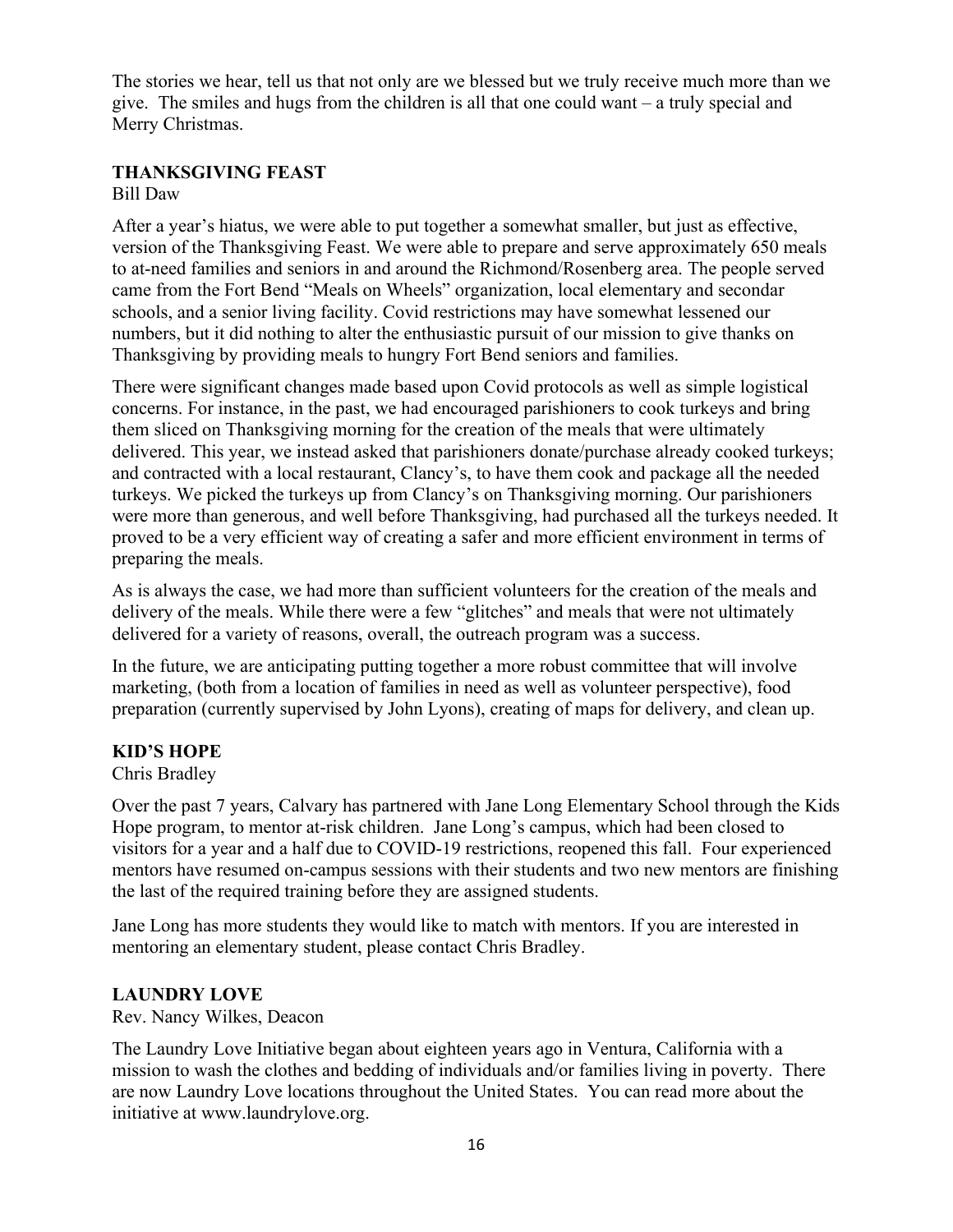The stories we hear, tell us that not only are we blessed but we truly receive much more than we give. The smiles and hugs from the children is all that one could want – a truly special and Merry Christmas.

#### **THANKSGIVING FEAST** Bill Daw

After a year's hiatus, we were able to put together a somewhat smaller, but just as effective, version of the Thanksgiving Feast. We were able to prepare and serve approximately 650 meals to at-need families and seniors in and around the Richmond/Rosenberg area. The people served came from the Fort Bend "Meals on Wheels" organization, local elementary and secondar schools, and a senior living facility. Covid restrictions may have somewhat lessened our numbers, but it did nothing to alter the enthusiastic pursuit of our mission to give thanks on Thanksgiving by providing meals to hungry Fort Bend seniors and families.

There were significant changes made based upon Covid protocols as well as simple logistical concerns. For instance, in the past, we had encouraged parishioners to cook turkeys and bring them sliced on Thanksgiving morning for the creation of the meals that were ultimately delivered. This year, we instead asked that parishioners donate/purchase already cooked turkeys; and contracted with a local restaurant, Clancy's, to have them cook and package all the needed turkeys. We picked the turkeys up from Clancy's on Thanksgiving morning. Our parishioners were more than generous, and well before Thanksgiving, had purchased all the turkeys needed. It proved to be a very efficient way of creating a safer and more efficient environment in terms of preparing the meals.

As is always the case, we had more than sufficient volunteers for the creation of the meals and delivery of the meals. While there were a few "glitches" and meals that were not ultimately delivered for a variety of reasons, overall, the outreach program was a success.

In the future, we are anticipating putting together a more robust committee that will involve marketing, (both from a location of families in need as well as volunteer perspective), food preparation (currently supervised by John Lyons), creating of maps for delivery, and clean up.

## **KID'S HOPE**

Chris Bradley

Over the past 7 years, Calvary has partnered with Jane Long Elementary School through the Kids Hope program, to mentor at-risk children. Jane Long's campus, which had been closed to visitors for a year and a half due to COVID-19 restrictions, reopened this fall. Four experienced mentors have resumed on-campus sessions with their students and two new mentors are finishing the last of the required training before they are assigned students.

Jane Long has more students they would like to match with mentors. If you are interested in mentoring an elementary student, please contact Chris Bradley.

## **LAUNDRY LOVE**

Rev. Nancy Wilkes, Deacon

The Laundry Love Initiative began about eighteen years ago in Ventura, California with a mission to wash the clothes and bedding of individuals and/or families living in poverty. There are now Laundry Love locations throughout the United States. You can read more about the initiative at www.laundrylove.org.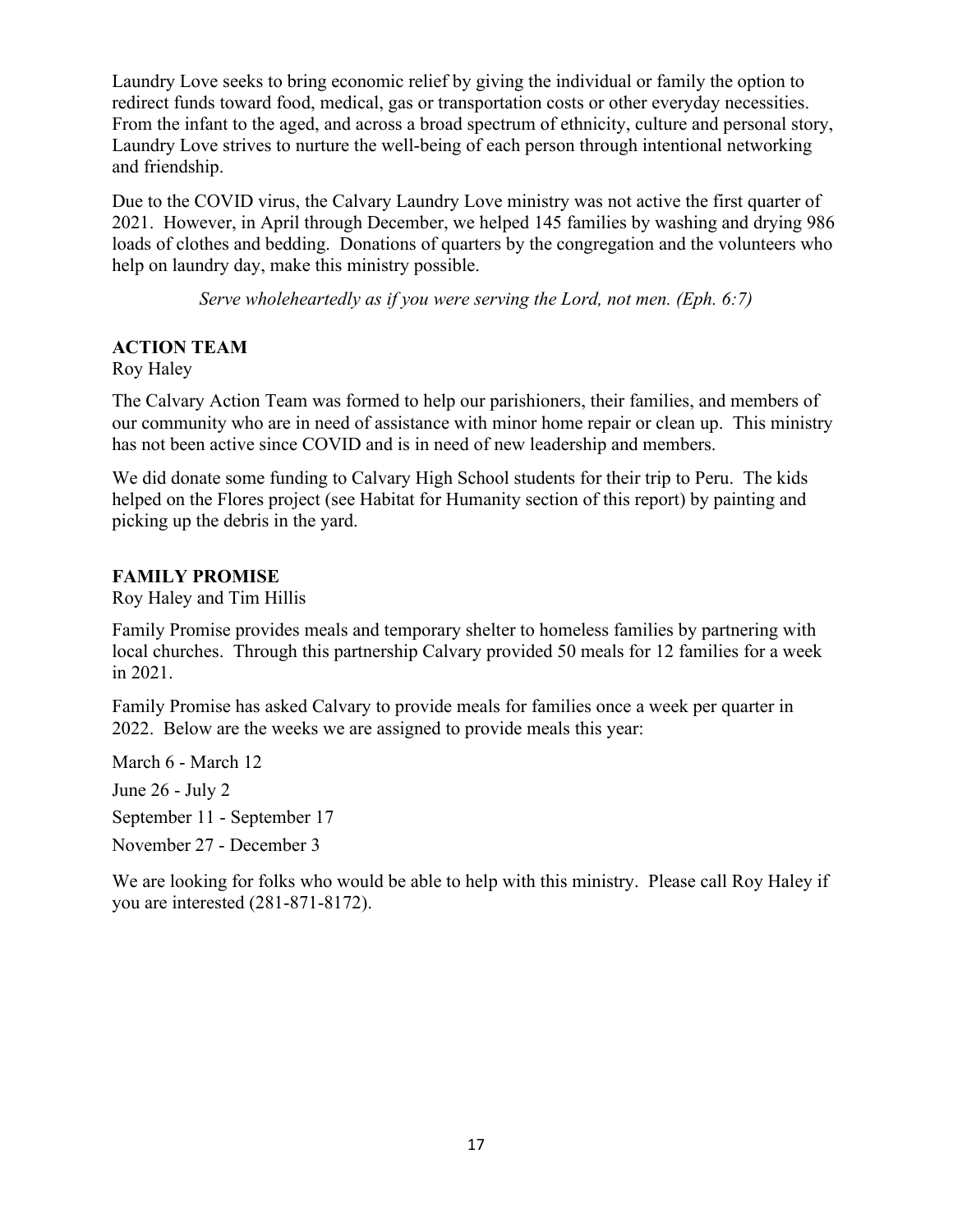Laundry Love seeks to bring economic relief by giving the individual or family the option to redirect funds toward food, medical, gas or transportation costs or other everyday necessities. From the infant to the aged, and across a broad spectrum of ethnicity, culture and personal story, Laundry Love strives to nurture the well-being of each person through intentional networking and friendship.

Due to the COVID virus, the Calvary Laundry Love ministry was not active the first quarter of 2021. However, in April through December, we helped 145 families by washing and drying 986 loads of clothes and bedding. Donations of quarters by the congregation and the volunteers who help on laundry day, make this ministry possible.

*Serve wholeheartedly as if you were serving the Lord, not men. (Eph. 6:7)*

## **ACTION TEAM**

Roy Haley

The Calvary Action Team was formed to help our parishioners, their families, and members of our community who are in need of assistance with minor home repair or clean up. This ministry has not been active since COVID and is in need of new leadership and members.

We did donate some funding to Calvary High School students for their trip to Peru. The kids helped on the Flores project (see Habitat for Humanity section of this report) by painting and picking up the debris in the yard.

## **FAMILY PROMISE**

Roy Haley and Tim Hillis

Family Promise provides meals and temporary shelter to homeless families by partnering with local churches. Through this partnership Calvary provided 50 meals for 12 families for a week in 2021.

Family Promise has asked Calvary to provide meals for families once a week per quarter in 2022. Below are the weeks we are assigned to provide meals this year:

March 6 - March 12 June 26 - July 2 September 11 - September 17

November 27 - December 3

We are looking for folks who would be able to help with this ministry. Please call Roy Haley if you are interested (281-871-8172).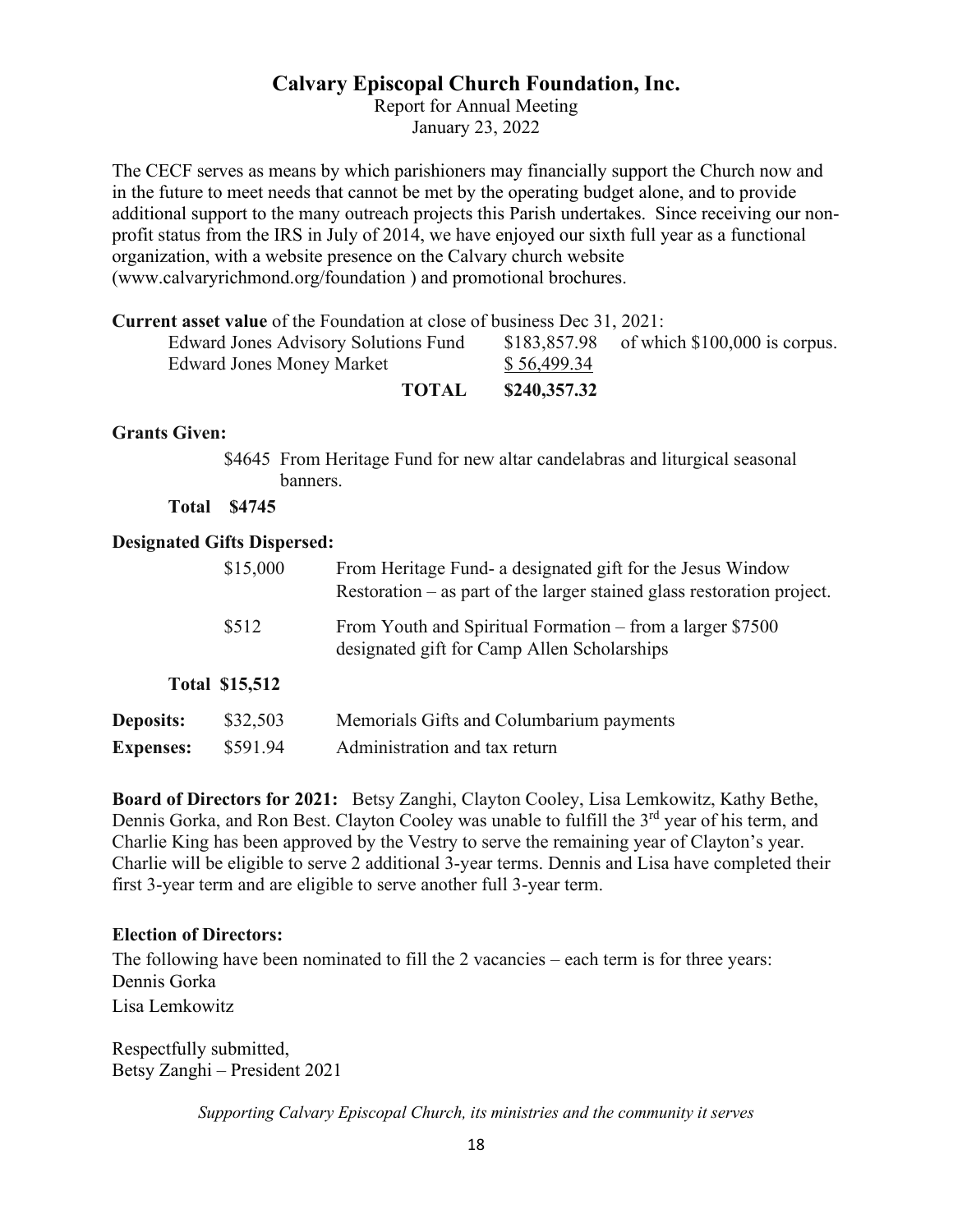## **Calvary Episcopal Church Foundation, Inc.**

Report for Annual Meeting January 23, 2022

The CECF serves as means by which parishioners may financially support the Church now and in the future to meet needs that cannot be met by the operating budget alone, and to provide additional support to the many outreach projects this Parish undertakes. Since receiving our nonprofit status from the IRS in July of 2014, we have enjoyed our sixth full year as a functional organization, with a website presence on the Calvary church website [\(www.calvaryrichmond.org/foundation](http://www.calvaryrichmond.org/foundation) ) and promotional brochures.

**Current asset value** of the Foundation at close of business Dec 31, 2021:

| <b>Edward Jones Advisory Solutions Fund</b> |              |              | $$183,857.98$ of which $$100,000$ is corpus. |
|---------------------------------------------|--------------|--------------|----------------------------------------------|
| Edward Jones Money Market                   |              | \$56,499.34  |                                              |
|                                             | <b>TOTAL</b> | \$240,357.32 |                                              |

#### **Grants Given:**

\$4645 From Heritage Fund for new altar candelabras and liturgical seasonal banners.

**Total \$4745**

#### **Designated Gifts Dispersed:**

|                  | \$15,000              | From Heritage Fund- a designated gift for the Jesus Window<br>Restoration $-$ as part of the larger stained glass restoration project. |
|------------------|-----------------------|----------------------------------------------------------------------------------------------------------------------------------------|
| \$512            |                       | From Youth and Spiritual Formation – from a larger \$7500<br>designated gift for Camp Allen Scholarships                               |
|                  | <b>Total \$15,512</b> |                                                                                                                                        |
| <b>Deposits:</b> | \$32,503              | Memorials Gifts and Columbarium payments                                                                                               |
| <b>Expenses:</b> | \$591.94              | Administration and tax return                                                                                                          |

**Board of Directors for 2021:** Betsy Zanghi, Clayton Cooley, Lisa Lemkowitz, Kathy Bethe, Dennis Gorka, and Ron Best. Clayton Cooley was unable to fulfill the 3<sup>rd</sup> year of his term, and Charlie King has been approved by the Vestry to serve the remaining year of Clayton's year. Charlie will be eligible to serve 2 additional 3-year terms. Dennis and Lisa have completed their first 3-year term and are eligible to serve another full 3-year term.

#### **Election of Directors:**

The following have been nominated to fill the 2 vacancies – each term is for three years: Dennis Gorka Lisa Lemkowitz

Respectfully submitted, Betsy Zanghi – President 2021

*Supporting Calvary Episcopal Church, its ministries and the community it serves*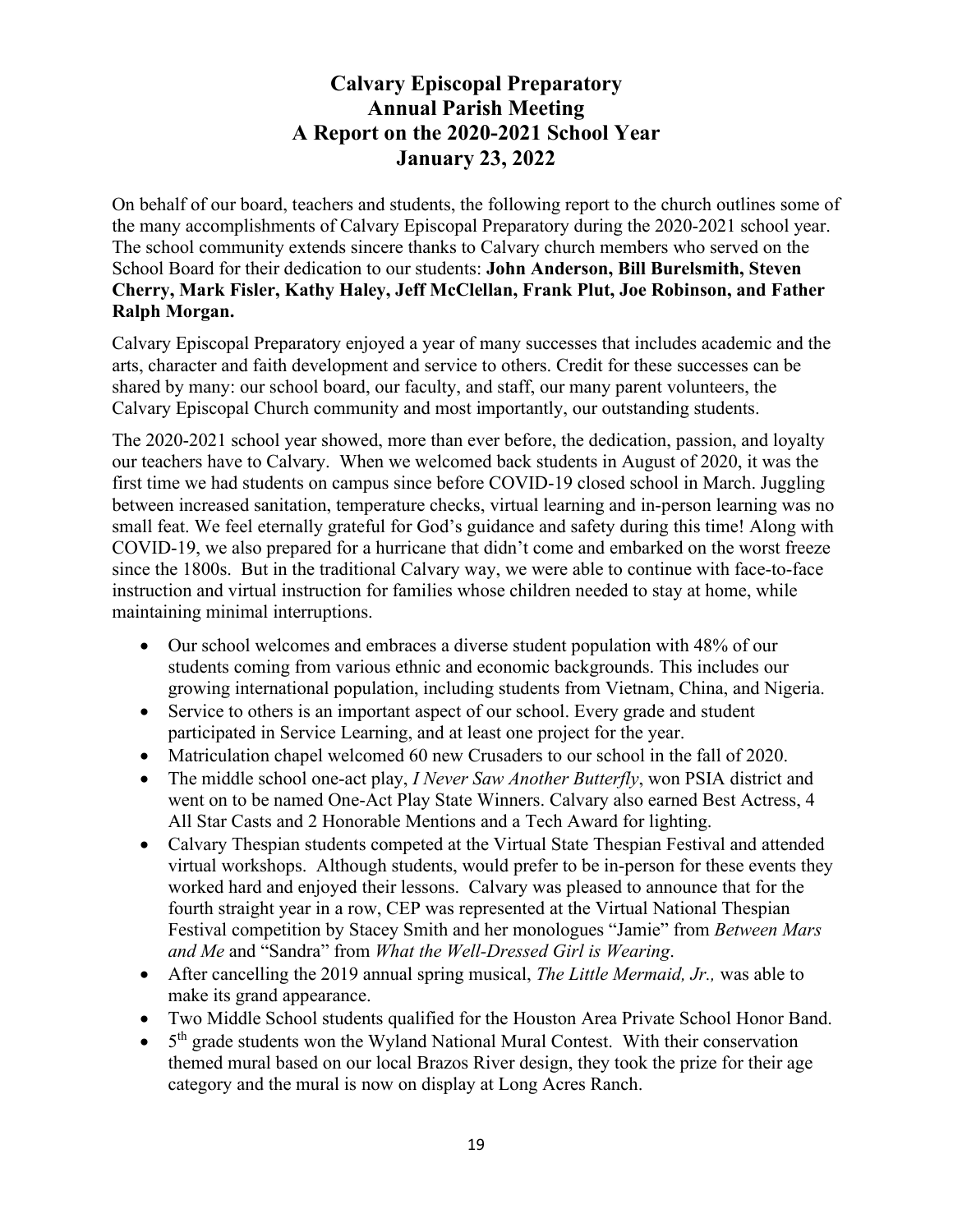# **Calvary Episcopal Preparatory Annual Parish Meeting A Report on the 2020-2021 School Year January 23, 2022**

On behalf of our board, teachers and students, the following report to the church outlines some of the many accomplishments of Calvary Episcopal Preparatory during the 2020-2021 school year. The school community extends sincere thanks to Calvary church members who served on the School Board for their dedication to our students: **John Anderson, Bill Burelsmith, Steven Cherry, Mark Fisler, Kathy Haley, Jeff McClellan, Frank Plut, Joe Robinson, and Father Ralph Morgan.** 

Calvary Episcopal Preparatory enjoyed a year of many successes that includes academic and the arts, character and faith development and service to others. Credit for these successes can be shared by many: our school board, our faculty, and staff, our many parent volunteers, the Calvary Episcopal Church community and most importantly, our outstanding students.

The 2020-2021 school year showed, more than ever before, the dedication, passion, and loyalty our teachers have to Calvary. When we welcomed back students in August of 2020, it was the first time we had students on campus since before COVID-19 closed school in March. Juggling between increased sanitation, temperature checks, virtual learning and in-person learning was no small feat. We feel eternally grateful for God's guidance and safety during this time! Along with COVID-19, we also prepared for a hurricane that didn't come and embarked on the worst freeze since the 1800s. But in the traditional Calvary way, we were able to continue with face-to-face instruction and virtual instruction for families whose children needed to stay at home, while maintaining minimal interruptions.

- Our school welcomes and embraces a diverse student population with 48% of our students coming from various ethnic and economic backgrounds. This includes our growing international population, including students from Vietnam, China, and Nigeria.
- Service to others is an important aspect of our school. Every grade and student participated in Service Learning, and at least one project for the year.
- Matriculation chapel welcomed 60 new Crusaders to our school in the fall of 2020.
- The middle school one-act play, *I Never Saw Another Butterfly*, won PSIA district and went on to be named One-Act Play State Winners. Calvary also earned Best Actress, 4 All Star Casts and 2 Honorable Mentions and a Tech Award for lighting.
- Calvary Thespian students competed at the Virtual State Thespian Festival and attended virtual workshops. Although students, would prefer to be in-person for these events they worked hard and enjoyed their lessons. Calvary was pleased to announce that for the fourth straight year in a row, CEP was represented at the Virtual National Thespian Festival competition by Stacey Smith and her monologues "Jamie" from *Between Mars and Me* and "Sandra" from *What the Well-Dressed Girl is Wearing*.
- After cancelling the 2019 annual spring musical, *The Little Mermaid, Jr.,* was able to make its grand appearance.
- Two Middle School students qualified for the Houston Area Private School Honor Band.
- $\bullet$  5<sup>th</sup> grade students won the Wyland National Mural Contest. With their conservation themed mural based on our local Brazos River design, they took the prize for their age category and the mural is now on display at Long Acres Ranch.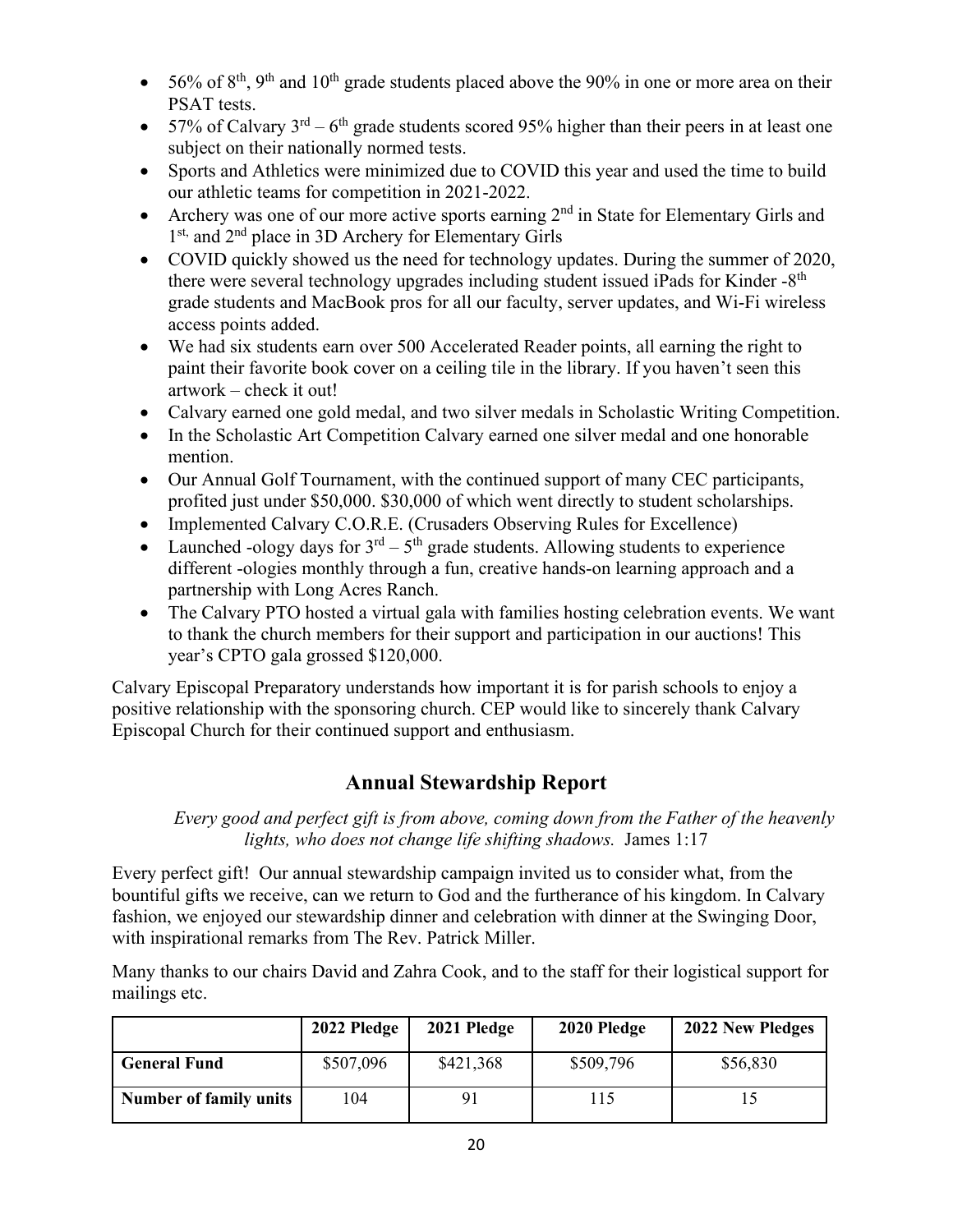- 56% of  $8<sup>th</sup>$ ,  $9<sup>th</sup>$  and  $10<sup>th</sup>$  grade students placed above the 90% in one or more area on their PSAT tests.
- 57% of Calvary  $3^{rd} 6^{th}$  grade students scored 95% higher than their peers in at least one subject on their nationally normed tests.
- Sports and Athletics were minimized due to COVID this year and used the time to build our athletic teams for competition in 2021-2022.
- Archery was one of our more active sports earning  $2<sup>nd</sup>$  in State for Elementary Girls and 1<sup>st,</sup> and 2<sup>nd</sup> place in 3D Archery for Elementary Girls
- COVID quickly showed us the need for technology updates. During the summer of 2020, there were several technology upgrades including student issued iPads for Kinder -8<sup>th</sup> grade students and MacBook pros for all our faculty, server updates, and Wi-Fi wireless access points added.
- We had six students earn over 500 Accelerated Reader points, all earning the right to paint their favorite book cover on a ceiling tile in the library. If you haven't seen this artwork – check it out!
- Calvary earned one gold medal, and two silver medals in Scholastic Writing Competition.
- In the Scholastic Art Competition Calvary earned one silver medal and one honorable mention.
- Our Annual Golf Tournament, with the continued support of many CEC participants, profited just under \$50,000. \$30,000 of which went directly to student scholarships.
- Implemented Calvary C.O.R.E. (Crusaders Observing Rules for Excellence)
- Launched -ology days for  $3<sup>rd</sup> 5<sup>th</sup>$  grade students. Allowing students to experience different -ologies monthly through a fun, creative hands-on learning approach and a partnership with Long Acres Ranch.
- The Calvary PTO hosted a virtual gala with families hosting celebration events. We want to thank the church members for their support and participation in our auctions! This year's CPTO gala grossed \$120,000.

Calvary Episcopal Preparatory understands how important it is for parish schools to enjoy a positive relationship with the sponsoring church. CEP would like to sincerely thank Calvary Episcopal Church for their continued support and enthusiasm.

# **Annual Stewardship Report**

*Every good and perfect gift is from above, coming down from the Father of the heavenly lights, who does not change life shifting shadows.* James 1:17

Every perfect gift! Our annual stewardship campaign invited us to consider what, from the bountiful gifts we receive, can we return to God and the furtherance of his kingdom. In Calvary fashion, we enjoyed our stewardship dinner and celebration with dinner at the Swinging Door, with inspirational remarks from The Rev. Patrick Miller.

Many thanks to our chairs David and Zahra Cook, and to the staff for their logistical support for mailings etc.

|                               | 2022 Pledge | 2021 Pledge | 2020 Pledge | 2022 New Pledges |
|-------------------------------|-------------|-------------|-------------|------------------|
| <b>General Fund</b>           | \$507,096   | \$421,368   | \$509,796   | \$56,830         |
| <b>Number of family units</b> | .04         |             | 15          |                  |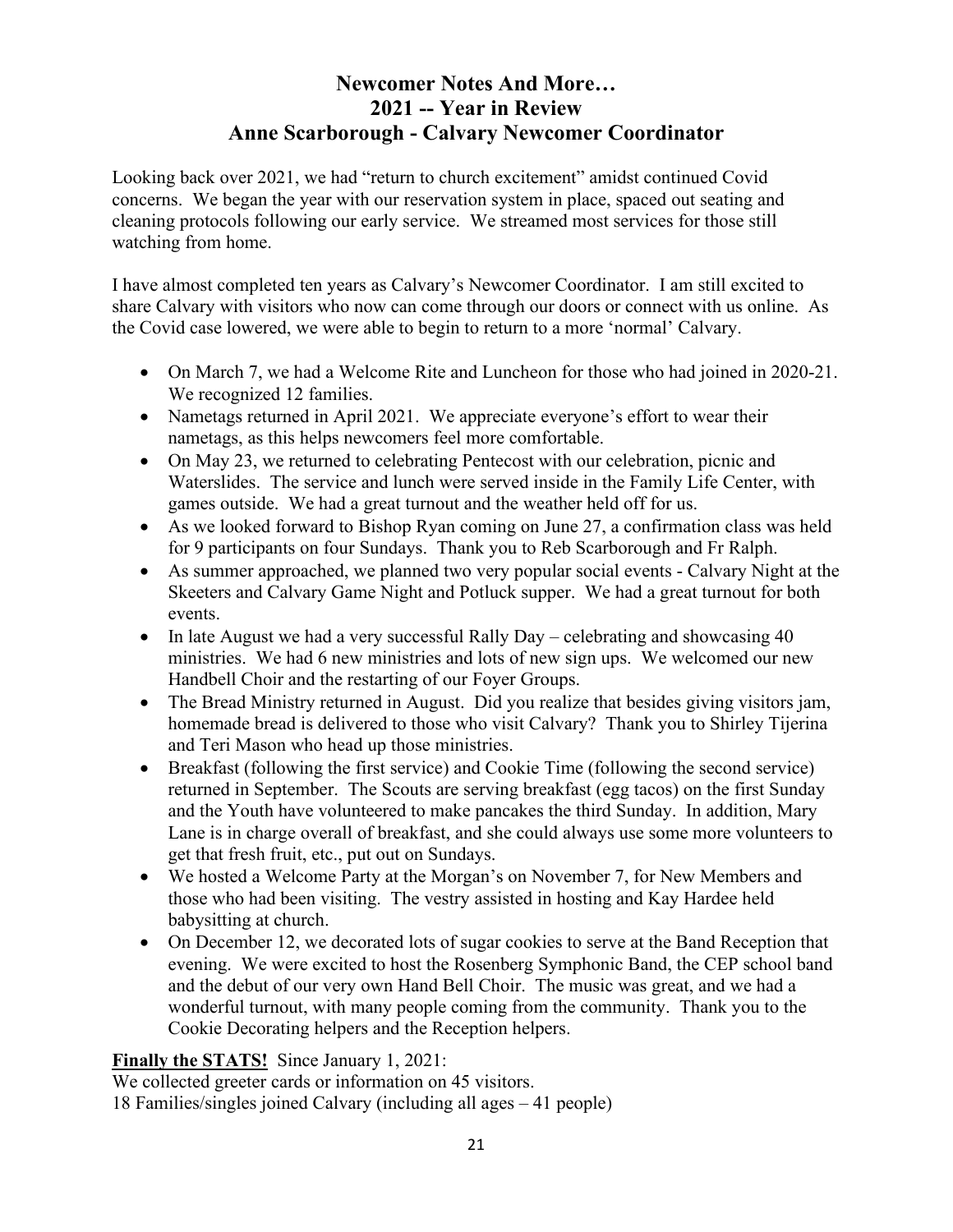# **Newcomer Notes And More… 2021 -- Year in Review Anne Scarborough - Calvary Newcomer Coordinator**

Looking back over 2021, we had "return to church excitement" amidst continued Covid concerns. We began the year with our reservation system in place, spaced out seating and cleaning protocols following our early service. We streamed most services for those still watching from home.

I have almost completed ten years as Calvary's Newcomer Coordinator. I am still excited to share Calvary with visitors who now can come through our doors or connect with us online. As the Covid case lowered, we were able to begin to return to a more 'normal' Calvary.

- On March 7, we had a Welcome Rite and Luncheon for those who had joined in 2020-21. We recognized 12 families.
- Nametags returned in April 2021. We appreciate everyone's effort to wear their nametags, as this helps newcomers feel more comfortable.
- On May 23, we returned to celebrating Pentecost with our celebration, picnic and Waterslides. The service and lunch were served inside in the Family Life Center, with games outside. We had a great turnout and the weather held off for us.
- As we looked forward to Bishop Ryan coming on June 27, a confirmation class was held for 9 participants on four Sundays. Thank you to Reb Scarborough and Fr Ralph.
- As summer approached, we planned two very popular social events Calvary Night at the Skeeters and Calvary Game Night and Potluck supper. We had a great turnout for both events.
- In late August we had a very successful Rally Day celebrating and showcasing 40 ministries. We had 6 new ministries and lots of new sign ups. We welcomed our new Handbell Choir and the restarting of our Foyer Groups.
- The Bread Ministry returned in August. Did you realize that besides giving visitors jam, homemade bread is delivered to those who visit Calvary? Thank you to Shirley Tijerina and Teri Mason who head up those ministries.
- Breakfast (following the first service) and Cookie Time (following the second service) returned in September. The Scouts are serving breakfast (egg tacos) on the first Sunday and the Youth have volunteered to make pancakes the third Sunday. In addition, Mary Lane is in charge overall of breakfast, and she could always use some more volunteers to get that fresh fruit, etc., put out on Sundays.
- We hosted a Welcome Party at the Morgan's on November 7, for New Members and those who had been visiting. The vestry assisted in hosting and Kay Hardee held babysitting at church.
- On December 12, we decorated lots of sugar cookies to serve at the Band Reception that evening. We were excited to host the Rosenberg Symphonic Band, the CEP school band and the debut of our very own Hand Bell Choir. The music was great, and we had a wonderful turnout, with many people coming from the community. Thank you to the Cookie Decorating helpers and the Reception helpers.

**Finally the STATS!** Since January 1, 2021:

We collected greeter cards or information on 45 visitors. 18 Families/singles joined Calvary (including all ages – 41 people)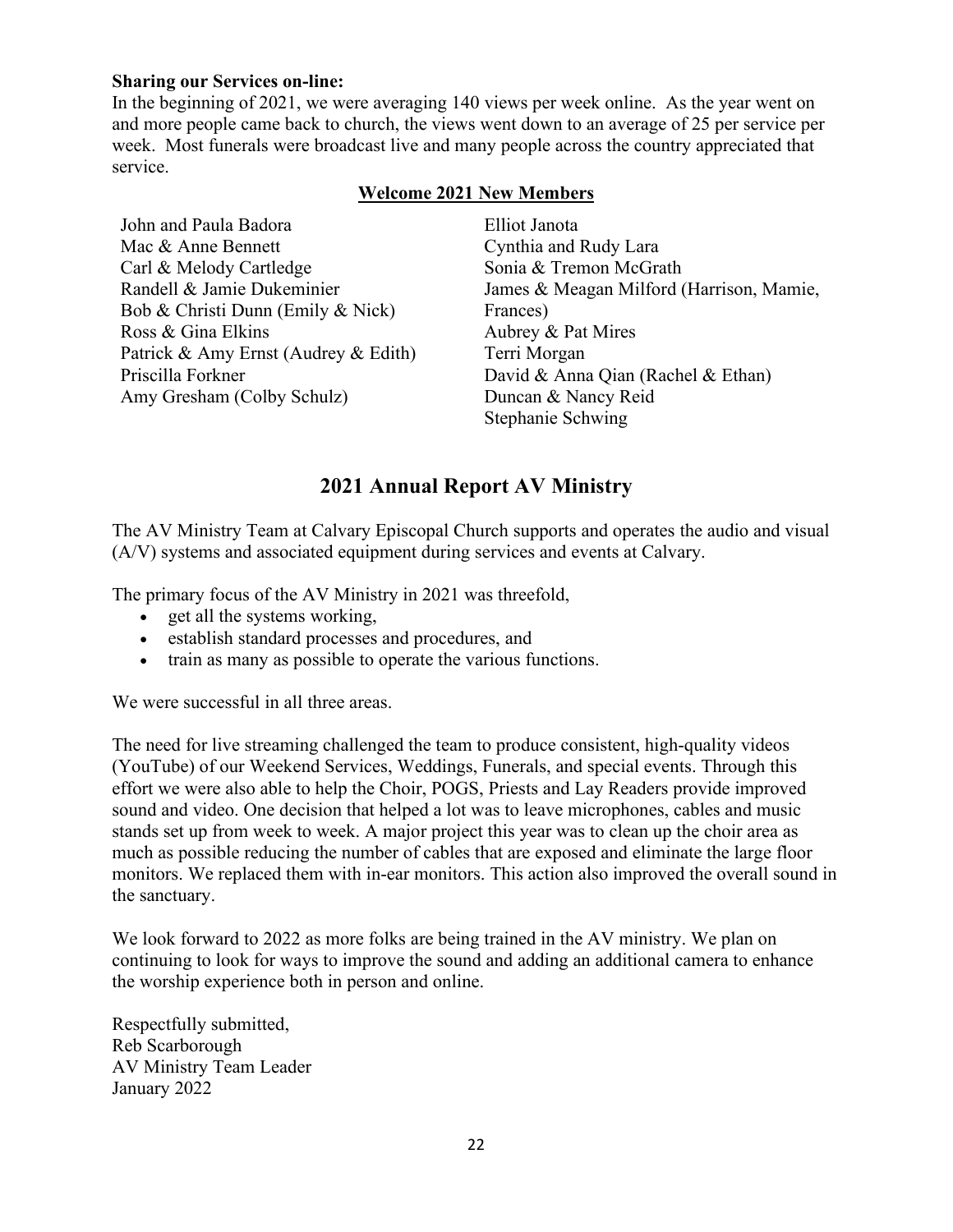#### **Sharing our Services on-line:**

In the beginning of 2021, we were averaging 140 views per week online. As the year went on and more people came back to church, the views went down to an average of 25 per service per week. Most funerals were broadcast live and many people across the country appreciated that service.

#### **Welcome 2021 New Members**

John and Paula Badora Mac & Anne Bennett Carl & Melody Cartledge Randell & Jamie Dukeminier Bob & Christi Dunn (Emily & Nick) Ross & Gina Elkins Patrick & Amy Ernst (Audrey & Edith) Priscilla Forkner Amy Gresham (Colby Schulz)

Elliot Janota Cynthia and Rudy Lara Sonia & Tremon McGrath James & Meagan Milford (Harrison, Mamie, Frances) Aubrey & Pat Mires Terri Morgan David & Anna Qian (Rachel & Ethan) Duncan & Nancy Reid Stephanie Schwing

## **2021 Annual Report AV Ministry**

The AV Ministry Team at Calvary Episcopal Church supports and operates the audio and visual (A/V) systems and associated equipment during services and events at Calvary.

The primary focus of the AV Ministry in 2021 was threefold,

- get all the systems working,
- establish standard processes and procedures, and
- train as many as possible to operate the various functions.

We were successful in all three areas.

The need for live streaming challenged the team to produce consistent, high-quality videos (YouTube) of our Weekend Services, Weddings, Funerals, and special events. Through this effort we were also able to help the Choir, POGS, Priests and Lay Readers provide improved sound and video. One decision that helped a lot was to leave microphones, cables and music stands set up from week to week. A major project this year was to clean up the choir area as much as possible reducing the number of cables that are exposed and eliminate the large floor monitors. We replaced them with in-ear monitors. This action also improved the overall sound in the sanctuary.

We look forward to 2022 as more folks are being trained in the AV ministry. We plan on continuing to look for ways to improve the sound and adding an additional camera to enhance the worship experience both in person and online.

Respectfully submitted, Reb Scarborough AV Ministry Team Leader January 2022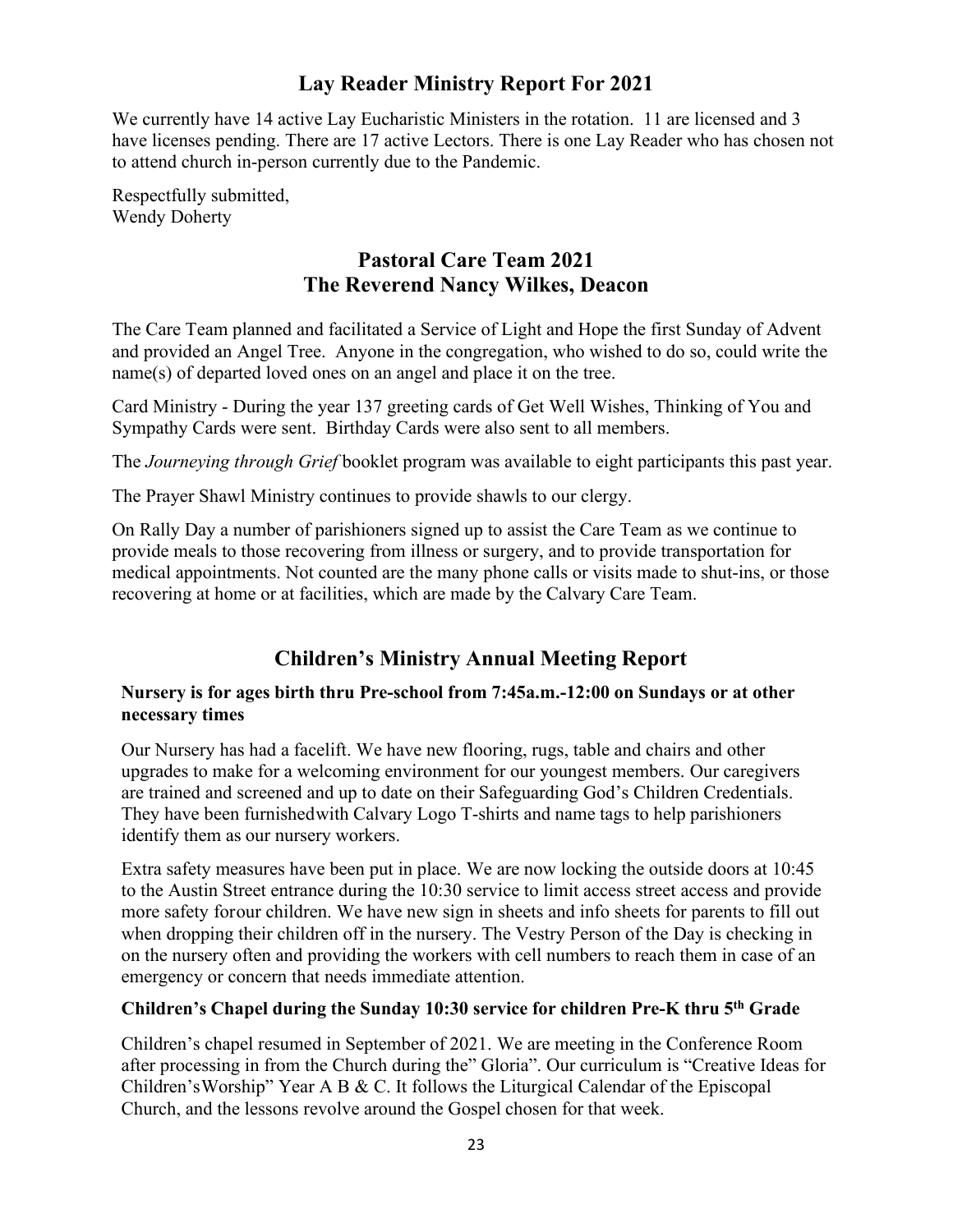# **Lay Reader Ministry Report For 2021**

We currently have 14 active Lay Eucharistic Ministers in the rotation. 11 are licensed and 3 have licenses pending. There are 17 active Lectors. There is one Lay Reader who has chosen not to attend church in-person currently due to the Pandemic.

Respectfully submitted, Wendy Doherty

# **Pastoral Care Team 2021 The Reverend Nancy Wilkes, Deacon**

The Care Team planned and facilitated a Service of Light and Hope the first Sunday of Advent and provided an Angel Tree. Anyone in the congregation, who wished to do so, could write the name(s) of departed loved ones on an angel and place it on the tree.

Card Ministry - During the year 137 greeting cards of Get Well Wishes, Thinking of You and Sympathy Cards were sent. Birthday Cards were also sent to all members.

The *Journeying through Grief* booklet program was available to eight participants this past year.

The Prayer Shawl Ministry continues to provide shawls to our clergy.

On Rally Day a number of parishioners signed up to assist the Care Team as we continue to provide meals to those recovering from illness or surgery, and to provide transportation for medical appointments. Not counted are the many phone calls or visits made to shut-ins, or those recovering at home or at facilities, which are made by the Calvary Care Team.

# **Children's Ministry Annual Meeting Report**

#### **Nursery is for ages birth thru Pre-school from 7:45a.m.-12:00 on Sundays or at other necessary times**

Our Nursery has had a facelift. We have new flooring, rugs, table and chairs and other upgrades to make for a welcoming environment for our youngest members. Our caregivers are trained and screened and up to date on their Safeguarding God's Children Credentials. They have been furnishedwith Calvary Logo T-shirts and name tags to help parishioners identify them as our nursery workers.

Extra safety measures have been put in place. We are now locking the outside doors at 10:45 to the Austin Street entrance during the 10:30 service to limit access street access and provide more safety forour children. We have new sign in sheets and info sheets for parents to fill out when dropping their children off in the nursery. The Vestry Person of the Day is checking in on the nursery often and providing the workers with cell numbers to reach them in case of an emergency or concern that needs immediate attention.

## **Children's Chapel during the Sunday 10:30 service for children Pre-K thru 5th Grade**

Children's chapel resumed in September of 2021. We are meeting in the Conference Room after processing in from the Church during the" Gloria". Our curriculum is "Creative Ideas for Children'sWorship" Year A B & C. It follows the Liturgical Calendar of the Episcopal Church, and the lessons revolve around the Gospel chosen for that week.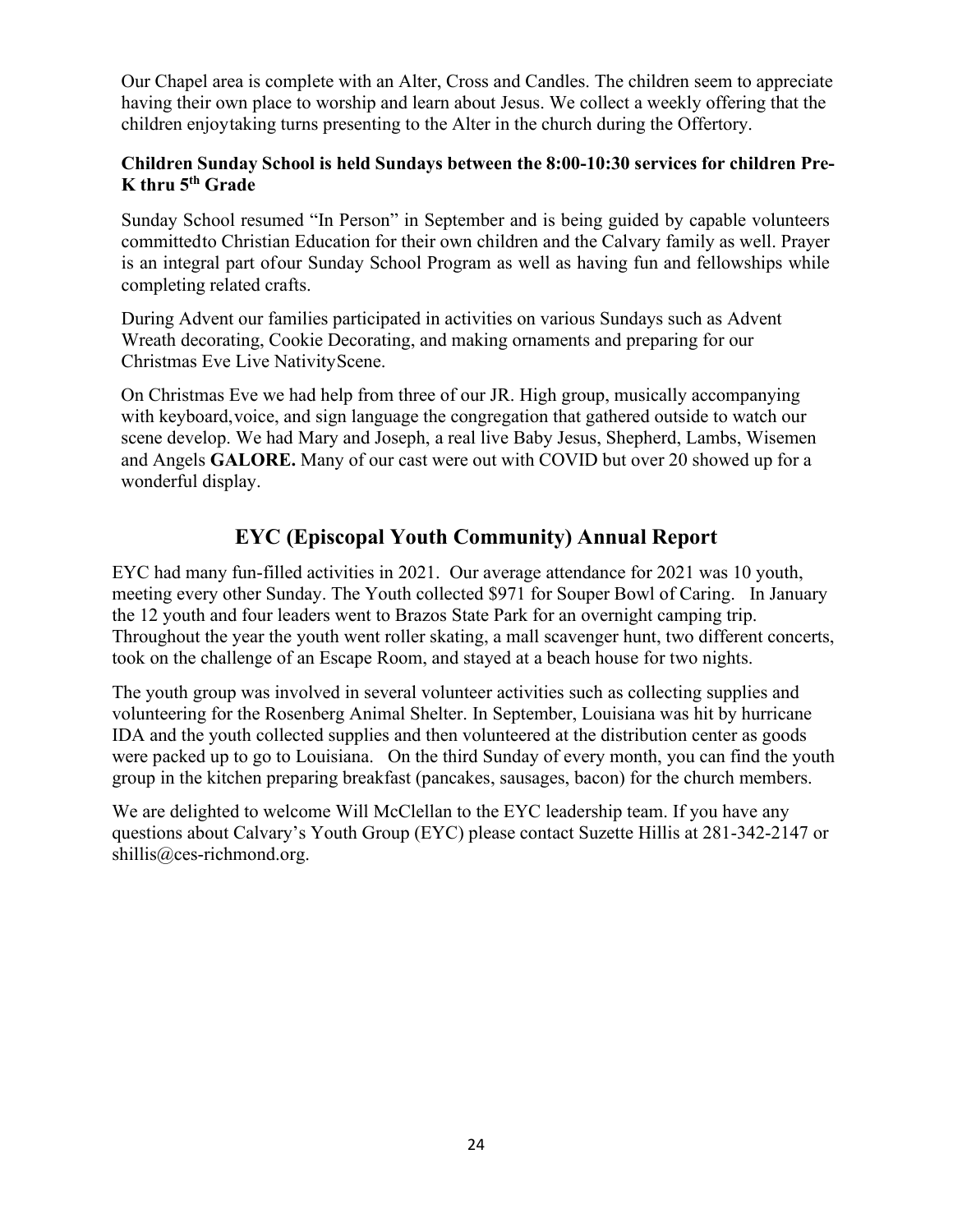Our Chapel area is complete with an Alter, Cross and Candles. The children seem to appreciate having their own place to worship and learn about Jesus. We collect a weekly offering that the children enjoytaking turns presenting to the Alter in the church during the Offertory.

## **Children Sunday School is held Sundays between the 8:00-10:30 services for children Pre-K thru 5th Grade**

Sunday School resumed "In Person" in September and is being guided by capable volunteers committedto Christian Education for their own children and the Calvary family as well. Prayer is an integral part ofour Sunday School Program as well as having fun and fellowships while completing related crafts.

During Advent our families participated in activities on various Sundays such as Advent Wreath decorating, Cookie Decorating, and making ornaments and preparing for our Christmas Eve Live NativityScene.

On Christmas Eve we had help from three of our JR. High group, musically accompanying with keyboard,voice, and sign language the congregation that gathered outside to watch our scene develop. We had Mary and Joseph, a real live Baby Jesus, Shepherd, Lambs, Wisemen and Angels **GALORE.** Many of our cast were out with COVID but over 20 showed up for a wonderful display.

# **EYC (Episcopal Youth Community) Annual Report**

EYC had many fun-filled activities in 2021. Our average attendance for 2021 was 10 youth, meeting every other Sunday. The Youth collected \$971 for Souper Bowl of Caring. In January the 12 youth and four leaders went to Brazos State Park for an overnight camping trip. Throughout the year the youth went roller skating, a mall scavenger hunt, two different concerts, took on the challenge of an Escape Room, and stayed at a beach house for two nights.

The youth group was involved in several volunteer activities such as collecting supplies and volunteering for the Rosenberg Animal Shelter. In September, Louisiana was hit by hurricane IDA and the youth collected supplies and then volunteered at the distribution center as goods were packed up to go to Louisiana. On the third Sunday of every month, you can find the youth group in the kitchen preparing breakfast (pancakes, sausages, bacon) for the church members.

We are delighted to welcome Will McClellan to the EYC leadership team. If you have any questions about Calvary's Youth Group (EYC) please contact Suzette Hillis at 281-342-2147 or [shillis@ces-richmond.org.](mailto:shillis@ces-richmond.org)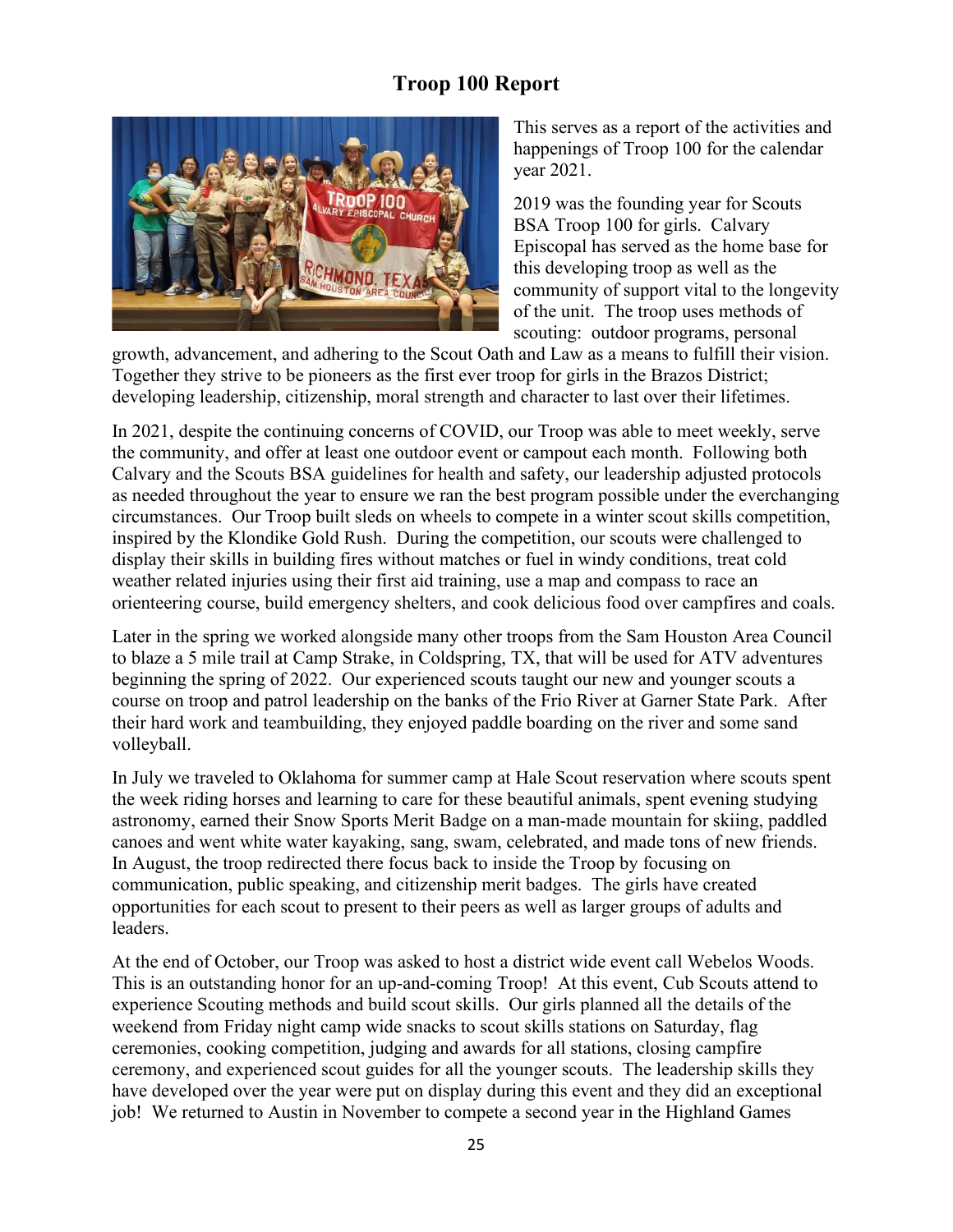# **Troop 100 Report**



This serves as a report of the activities and happenings of Troop 100 for the calendar year 2021.

2019 was the founding year for Scouts BSA Troop 100 for girls. Calvary Episcopal has served as the home base for this developing troop as well as the community of support vital to the longevity of the unit. The troop uses methods of scouting: outdoor programs, personal

growth, advancement, and adhering to the Scout Oath and Law as a means to fulfill their vision. Together they strive to be pioneers as the first ever troop for girls in the Brazos District; developing leadership, citizenship, moral strength and character to last over their lifetimes.

In 2021, despite the continuing concerns of COVID, our Troop was able to meet weekly, serve the community, and offer at least one outdoor event or campout each month. Following both Calvary and the Scouts BSA guidelines for health and safety, our leadership adjusted protocols as needed throughout the year to ensure we ran the best program possible under the everchanging circumstances. Our Troop built sleds on wheels to compete in a winter scout skills competition, inspired by the Klondike Gold Rush. During the competition, our scouts were challenged to display their skills in building fires without matches or fuel in windy conditions, treat cold weather related injuries using their first aid training, use a map and compass to race an orienteering course, build emergency shelters, and cook delicious food over campfires and coals.

Later in the spring we worked alongside many other troops from the Sam Houston Area Council to blaze a 5 mile trail at Camp Strake, in Coldspring, TX, that will be used for ATV adventures beginning the spring of 2022. Our experienced scouts taught our new and younger scouts a course on troop and patrol leadership on the banks of the Frio River at Garner State Park. After their hard work and teambuilding, they enjoyed paddle boarding on the river and some sand volleyball.

In July we traveled to Oklahoma for summer camp at Hale Scout reservation where scouts spent the week riding horses and learning to care for these beautiful animals, spent evening studying astronomy, earned their Snow Sports Merit Badge on a man-made mountain for skiing, paddled canoes and went white water kayaking, sang, swam, celebrated, and made tons of new friends. In August, the troop redirected there focus back to inside the Troop by focusing on communication, public speaking, and citizenship merit badges. The girls have created opportunities for each scout to present to their peers as well as larger groups of adults and leaders.

At the end of October, our Troop was asked to host a district wide event call Webelos Woods. This is an outstanding honor for an up-and-coming Troop! At this event, Cub Scouts attend to experience Scouting methods and build scout skills. Our girls planned all the details of the weekend from Friday night camp wide snacks to scout skills stations on Saturday, flag ceremonies, cooking competition, judging and awards for all stations, closing campfire ceremony, and experienced scout guides for all the younger scouts. The leadership skills they have developed over the year were put on display during this event and they did an exceptional job! We returned to Austin in November to compete a second year in the Highland Games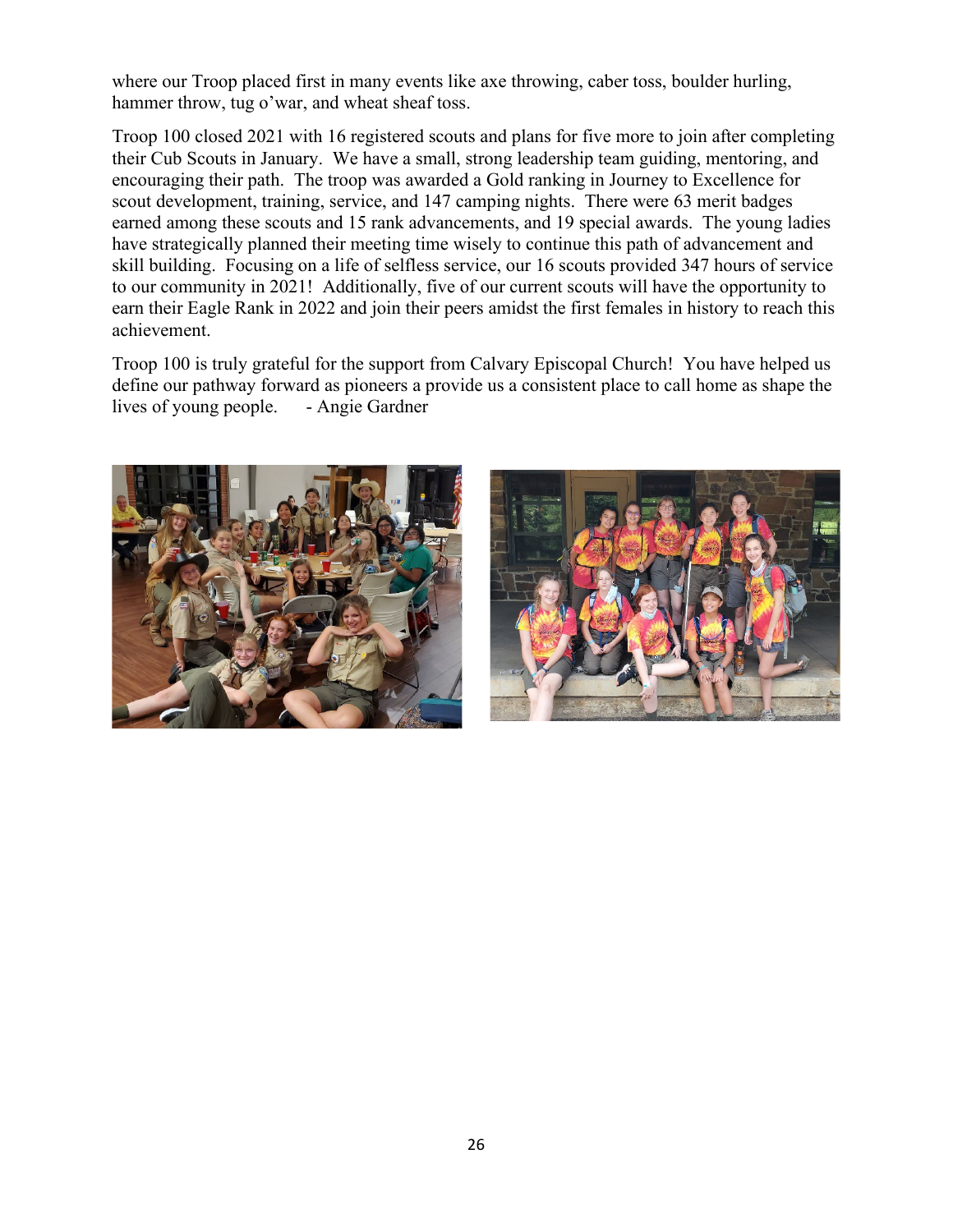where our Troop placed first in many events like axe throwing, caber toss, boulder hurling, hammer throw, tug o'war, and wheat sheaf toss.

Troop 100 closed 2021 with 16 registered scouts and plans for five more to join after completing their Cub Scouts in January. We have a small, strong leadership team guiding, mentoring, and encouraging their path. The troop was awarded a Gold ranking in Journey to Excellence for scout development, training, service, and 147 camping nights. There were 63 merit badges earned among these scouts and 15 rank advancements, and 19 special awards. The young ladies have strategically planned their meeting time wisely to continue this path of advancement and skill building. Focusing on a life of selfless service, our 16 scouts provided 347 hours of service to our community in 2021! Additionally, five of our current scouts will have the opportunity to earn their Eagle Rank in 2022 and join their peers amidst the first females in history to reach this achievement.

Troop 100 is truly grateful for the support from Calvary Episcopal Church! You have helped us define our pathway forward as pioneers a provide us a consistent place to call home as shape the lives of young people. - Angie Gardner



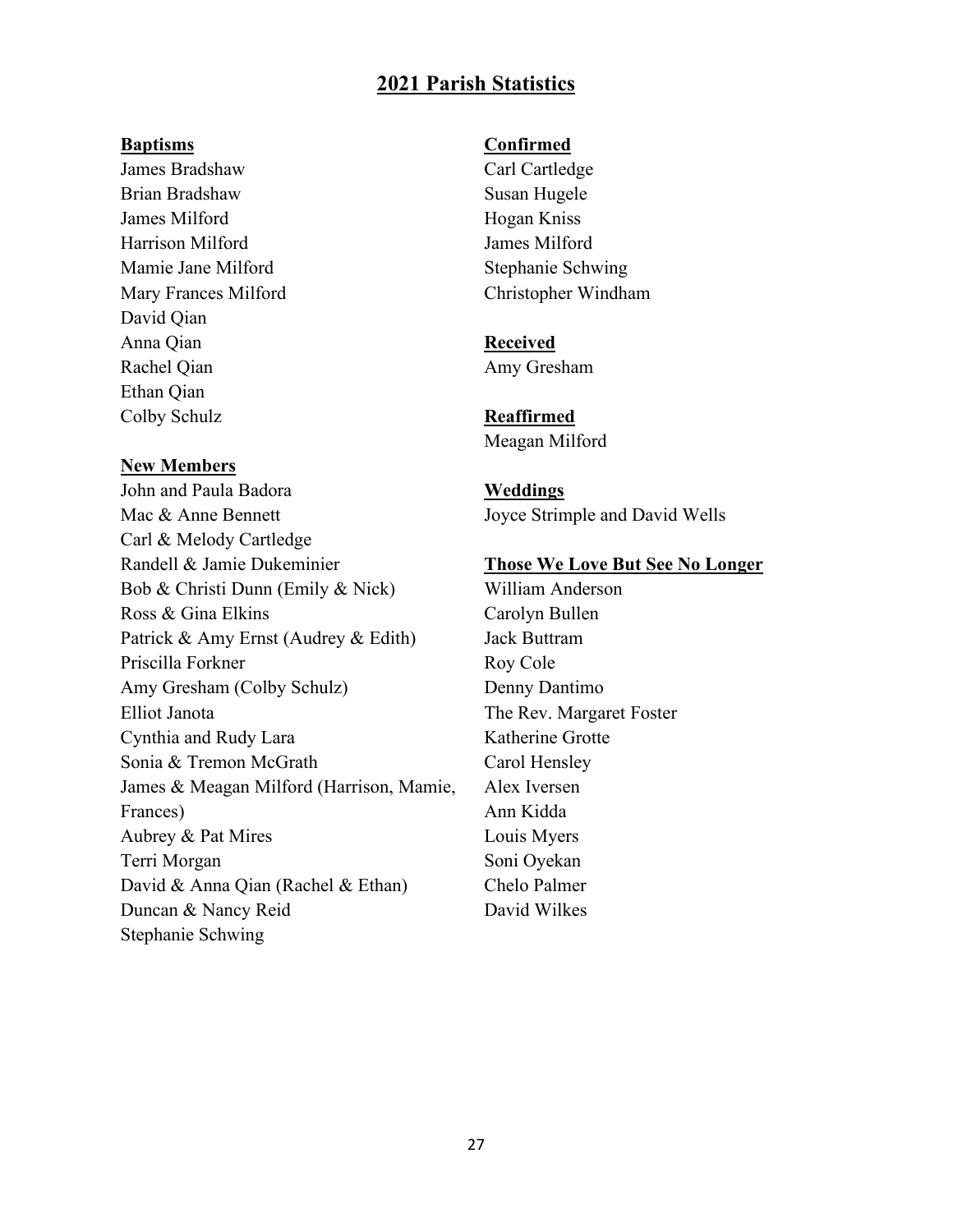## **2021 Parish Statistics**

#### **Baptisms**

James Bradshaw Brian Bradshaw James Milford Harrison Milford Mamie Jane Milford Mary Frances Milford David Qian Anna Qian Rachel Qian Ethan Qian Colby Schulz

#### **New Members**

John and Paula Badora Mac & Anne Bennett Carl & Melody Cartledge Randell & Jamie Dukeminier Bob & Christi Dunn (Emily & Nick) Ross & Gina Elkins Patrick & Amy Ernst (Audrey & Edith) Priscilla Forkner Amy Gresham (Colby Schulz) Elliot Janota Cynthia and Rudy Lara Sonia & Tremon McGrath James & Meagan Milford (Harrison, Mamie, Frances) Aubrey & Pat Mires Terri Morgan David & Anna Qian (Rachel & Ethan) Duncan & Nancy Reid Stephanie Schwing

#### **Confirmed**

Carl Cartledge Susan Hugele Hogan Kniss James Milford Stephanie Schwing Christopher Windham

# **Received**

Amy Gresham

**Reaffirmed** Meagan Milford

**Weddings** Joyce Strimple and David Wells

#### **Those We Love But See No Longer**

William Anderson Carolyn Bullen Jack Buttram Roy Cole Denny Dantimo The Rev. Margaret Foster Katherine Grotte Carol Hensley Alex Iversen Ann Kidda Louis Myers Soni Oyekan Chelo Palmer David Wilkes